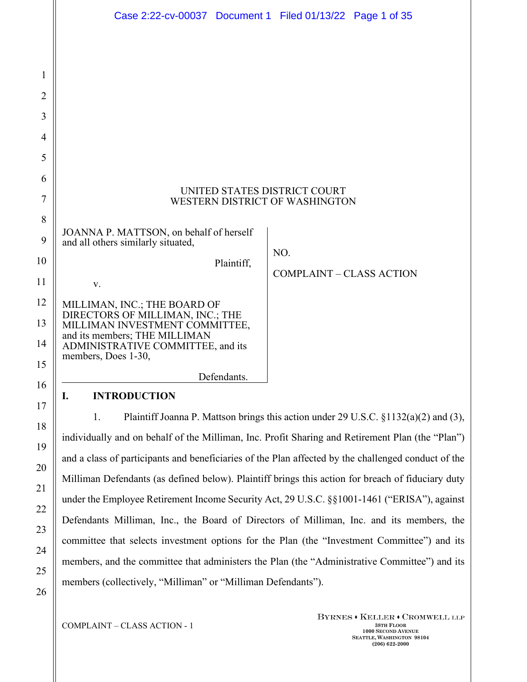|                | Case 2:22-cv-00037 Document 1 Filed 01/13/22 Page 1 of 35                                 |
|----------------|-------------------------------------------------------------------------------------------|
|                |                                                                                           |
| $\mathbf{1}$   |                                                                                           |
| $\overline{2}$ |                                                                                           |
| 3              |                                                                                           |
| 4              |                                                                                           |
| 5              |                                                                                           |
| 6              |                                                                                           |
| $\tau$         | UNITED STATES DISTRICT COURT<br>WESTERN DISTRICT OF WASHINGTON                            |
| 8              |                                                                                           |
| 9              | JOANNA P. MATTSON, on behalf of herself<br>and all others similarly situated,             |
| 10             | NO.<br>Plaintiff,                                                                         |
| 11             | <b>COMPLAINT - CLASS ACTION</b><br>V.                                                     |
| 12             | MILLIMAN, INC.; THE BOARD OF DIRECTORS OF MILLIMAN, INC.; THE                             |
| 13             | MILLIMAN INVESTMENT COMMITTEE,                                                            |
| 14             | and its members; THE MILLIMAN<br>ADMINISTRATIVE COMMITTEE, and its<br>members, Does 1-30, |
| 15             | Defendants.                                                                               |
| 16             | I.<br><b>INTRODUCTION</b>                                                                 |
| 17<br>18       | Plaintiff Joanna P. Mattson brings this action under 29 U.S.C. §1132(a)(2) and (3),<br>1. |

individually and on behalf of the Milliman, Inc. Profit Sharing and Retirement Plan (the "Plan") and a class of participants and beneficiaries of the Plan affected by the challenged conduct of the Milliman Defendants (as defined below). Plaintiff brings this action for breach of fiduciary duty under the Employee Retirement Income Security Act, 29 U.S.C. §§1001-1461 ("ERISA"), against Defendants Milliman, Inc., the Board of Directors of Milliman, Inc. and its members, the committee that selects investment options for the Plan (the "Investment Committee") and its members, and the committee that administers the Plan (the "Administrative Committee") and its members (collectively, "Milliman" or "Milliman Defendants").

COMPLAINT – CLASS ACTION - 1 **38TH FLOOR** 

19

20

21

22

23

24

25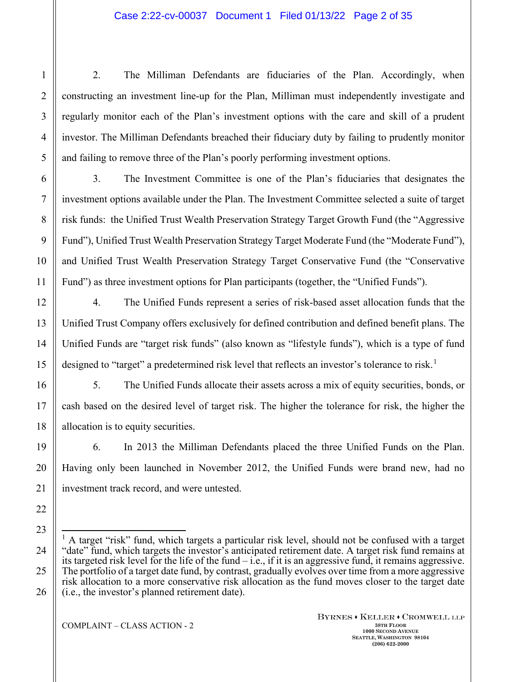2. The Milliman Defendants are fiduciaries of the Plan. Accordingly, when constructing an investment line-up for the Plan, Milliman must independently investigate and regularly monitor each of the Plan's investment options with the care and skill of a prudent investor. The Milliman Defendants breached their fiduciary duty by failing to prudently monitor and failing to remove three of the Plan's poorly performing investment options.

3. The Investment Committee is one of the Plan's fiduciaries that designates the investment options available under the Plan. The Investment Committee selected a suite of target risk funds: the Unified Trust Wealth Preservation Strategy Target Growth Fund (the "Aggressive Fund"), Unified Trust Wealth Preservation Strategy Target Moderate Fund (the "Moderate Fund"), and Unified Trust Wealth Preservation Strategy Target Conservative Fund (the "Conservative Fund") as three investment options for Plan participants (together, the "Unified Funds").

4. The Unified Funds represent a series of risk-based asset allocation funds that the Unified Trust Company offers exclusively for defined contribution and defined benefit plans. The Unified Funds are "target risk funds" (also known as "lifestyle funds"), which is a type of fund designed to "target" a predetermined risk level that reflects an investor's tolerance to risk.<sup>[1](#page-1-0)</sup>

5. The Unified Funds allocate their assets across a mix of equity securities, bonds, or cash based on the desired level of target risk. The higher the tolerance for risk, the higher the allocation is to equity securities.

6. In 2013 the Milliman Defendants placed the three Unified Funds on the Plan. Having only been launched in November 2012, the Unified Funds were brand new, had no investment track record, and were untested.

<span id="page-1-0"></span><sup>&</sup>lt;sup>1</sup> A target "risk" fund, which targets a particular risk level, should not be confused with a target "date" fund, which targets the investor's anticipated retirement date. A target risk fund remains at its targeted risk level for the life of the fund  $-i.e.,$  if it is an aggressive fund, it remains aggressive. The portfolio of a target date fund, by contrast, gradually evolves over time from a more aggressive risk allocation to a more conservative risk allocation as the fund moves closer to the target date (i.e., the investor's planned retirement date).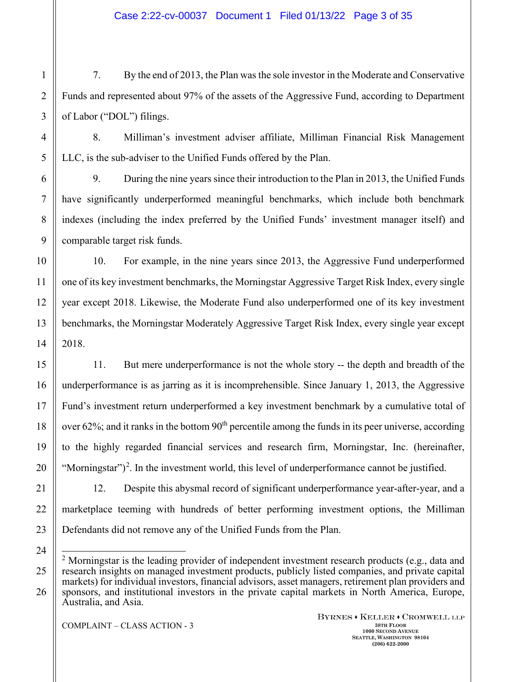7. By the end of 2013, the Plan was the sole investor in the Moderate and Conservative Funds and represented about 97% of the assets of the Aggressive Fund, according to Department of Labor ("DOL") filings.

8. Milliman's investment adviser affiliate, Milliman Financial Risk Management LLC, is the sub-adviser to the Unified Funds offered by the Plan.

9. During the nine years since their introduction to the Plan in 2013, the Unified Funds have significantly underperformed meaningful benchmarks, which include both benchmark indexes (including the index preferred by the Unified Funds' investment manager itself) and comparable target risk funds.

10. For example, in the nine years since 2013, the Aggressive Fund underperformed one of its key investment benchmarks, the Morningstar Aggressive Target Risk Index, every single year except 2018. Likewise, the Moderate Fund also underperformed one of its key investment benchmarks, the Morningstar Moderately Aggressive Target Risk Index, every single year except 2018.

11. But mere underperformance is not the whole story -- the depth and breadth of the underperformance is as jarring as it is incomprehensible. Since January 1, 2013, the Aggressive Fund's investment return underperformed a key investment benchmark by a cumulative total of over  $62\%$ ; and it ranks in the bottom  $90<sup>th</sup>$  percentile among the funds in its peer universe, according to the highly regarded financial services and research firm, Morningstar, Inc. (hereinafter, "Morningstar" $)^2$  $)^2$ . In the investment world, this level of underperformance cannot be justified.

12. Despite this abysmal record of significant underperformance year-after-year, and a marketplace teeming with hundreds of better performing investment options, the Milliman Defendants did not remove any of the Unified Funds from the Plan.

<span id="page-2-0"></span><sup>&</sup>lt;sup>2</sup> Morningstar is the leading provider of independent investment research products (e.g., data and research insights on managed investment products, publicly listed companies, and private capital markets) for individual investors, financial advisors, asset managers, retirement plan providers and sponsors, and institutional investors in the private capital markets in North America, Europe, Australia, and Asia.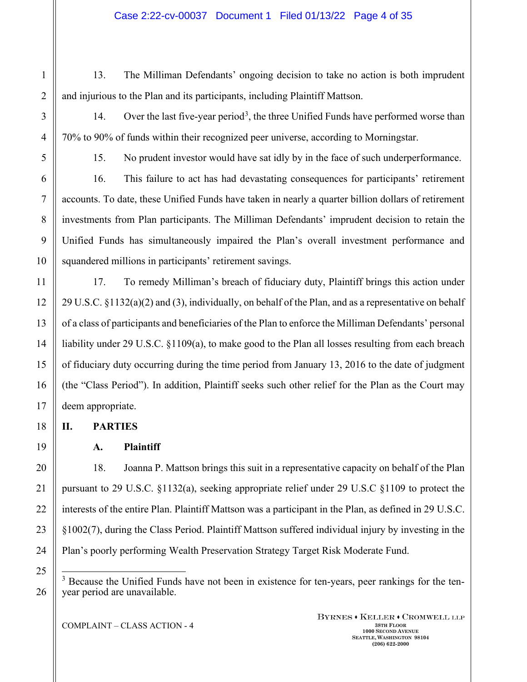1

2

3

4

5

6

13. The Milliman Defendants' ongoing decision to take no action is both imprudent and injurious to the Plan and its participants, including Plaintiff Mattson.

14. Over the last five-year period<sup>[3](#page-3-0)</sup>, the three Unified Funds have performed worse than

15. No prudent investor would have sat idly by in the face of such underperformance.

16. This failure to act has had devastating consequences for participants' retirement accounts. To date, these Unified Funds have taken in nearly a quarter billion dollars of retirement investments from Plan participants. The Milliman Defendants' imprudent decision to retain the Unified Funds has simultaneously impaired the Plan's overall investment performance and squandered millions in participants' retirement savings.

70% to 90% of funds within their recognized peer universe, according to Morningstar.

17. To remedy Milliman's breach of fiduciary duty, Plaintiff brings this action under 29 U.S.C. §1132(a)(2) and (3), individually, on behalf of the Plan, and as a representative on behalf of a class of participants and beneficiaries of the Plan to enforce the Milliman Defendants' personal liability under 29 U.S.C. §1109(a), to make good to the Plan all losses resulting from each breach of fiduciary duty occurring during the time period from January 13, 2016 to the date of judgment (the "Class Period"). In addition, Plaintiff seeks such other relief for the Plan as the Court may deem appropriate.

**II. PARTIES**

**A. Plaintiff**

18. Joanna P. Mattson brings this suit in a representative capacity on behalf of the Plan pursuant to 29 U.S.C. §1132(a), seeking appropriate relief under 29 U.S.C §1109 to protect the interests of the entire Plan. Plaintiff Mattson was a participant in the Plan, as defined in 29 U.S.C. §1002(7), during the Class Period. Plaintiff Mattson suffered individual injury by investing in the Plan's poorly performing Wealth Preservation Strategy Target Risk Moderate Fund.

<span id="page-3-0"></span><sup>3</sup> Because the Unified Funds have not been in existence for ten-years, peer rankings for the tenyear period are unavailable.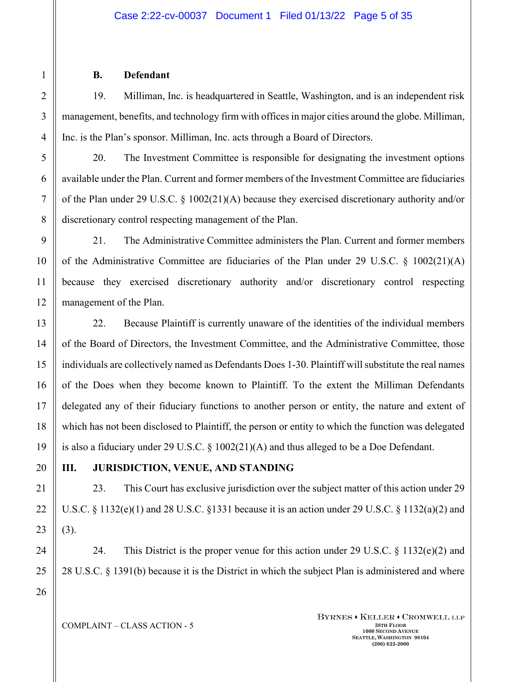### **B. Defendant**

19. Milliman, Inc. is headquartered in Seattle, Washington, and is an independent risk management, benefits, and technology firm with offices in major cities around the globe. Milliman, Inc. is the Plan's sponsor. Milliman, Inc. acts through a Board of Directors.

20. The Investment Committee is responsible for designating the investment options available under the Plan. Current and former members of the Investment Committee are fiduciaries of the Plan under 29 U.S.C. § 1002(21)(A) because they exercised discretionary authority and/or discretionary control respecting management of the Plan.

21. The Administrative Committee administers the Plan. Current and former members of the Administrative Committee are fiduciaries of the Plan under 29 U.S.C. § 1002(21)(A) because they exercised discretionary authority and/or discretionary control respecting management of the Plan.

22. Because Plaintiff is currently unaware of the identities of the individual members of the Board of Directors, the Investment Committee, and the Administrative Committee, those individuals are collectively named as Defendants Does 1-30. Plaintiff will substitute the real names of the Does when they become known to Plaintiff. To the extent the Milliman Defendants delegated any of their fiduciary functions to another person or entity, the nature and extent of which has not been disclosed to Plaintiff, the person or entity to which the function was delegated is also a fiduciary under 29 U.S.C. § 1002(21)(A) and thus alleged to be a Doe Defendant.

# **III. JURISDICTION, VENUE, AND STANDING**

23. This Court has exclusive jurisdiction over the subject matter of this action under 29 U.S.C.  $\S 1132(e)(1)$  and 28 U.S.C.  $\S 1331$  because it is an action under 29 U.S.C.  $\S 1132(a)(2)$  and (3).

24. This District is the proper venue for this action under 29 U.S.C.  $\S$  1132(e)(2) and 28 U.S.C. § 1391(b) because it is the District in which the subject Plan is administered and where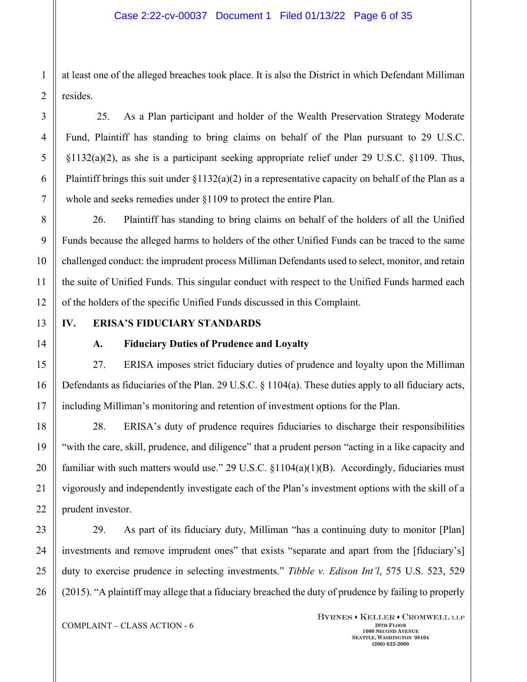at least one of the alleged breaches took place. It is also the District in which Defendant Milliman resides.

25. As a Plan participant and holder of the Wealth Preservation Strategy Moderate Fund, Plaintiff has standing to bring claims on behalf of the Plan pursuant to 29 U.S.C.  $\S1132(a)(2)$ , as she is a participant seeking appropriate relief under 29 U.S.C.  $\S1109$ . Thus, Plaintiff brings this suit under  $\S1132(a)(2)$  in a representative capacity on behalf of the Plan as a whole and seeks remedies under §1109 to protect the entire Plan.

26. Plaintiff has standing to bring claims on behalf of the holders of all the Unified Funds because the alleged harms to holders of the other Unified Funds can be traced to the same challenged conduct: the imprudent process Milliman Defendants used to select, monitor, and retain the suite of Unified Funds. This singular conduct with respect to the Unified Funds harmed each of the holders of the specific Unified Funds discussed in this Complaint.

# **IV. ERISA'S FIDUCIARY STANDARDS**

## **A. Fiduciary Duties of Prudence and Loyalty**

27. ERISA imposes strict fiduciary duties of prudence and loyalty upon the Milliman Defendants as fiduciaries of the Plan. 29 U.S.C. § 1104(a). These duties apply to all fiduciary acts, including Milliman's monitoring and retention of investment options for the Plan.

28. ERISA's duty of prudence requires fiduciaries to discharge their responsibilities "with the care, skill, prudence, and diligence" that a prudent person "acting in a like capacity and familiar with such matters would use." 29 U.S.C. §1104(a)(1)(B). Accordingly, fiduciaries must vigorously and independently investigate each of the Plan's investment options with the skill of a prudent investor.

29. As part of its fiduciary duty, Milliman "has a continuing duty to monitor [Plan] investments and remove imprudent ones" that exists "separate and apart from the [fiduciary's] duty to exercise prudence in selecting investments." *Tibble v. Edison Int'l*, 575 U.S. 523, 529 (2015). "A plaintiff may allege that a fiduciary breached the duty of prudence by failing to properly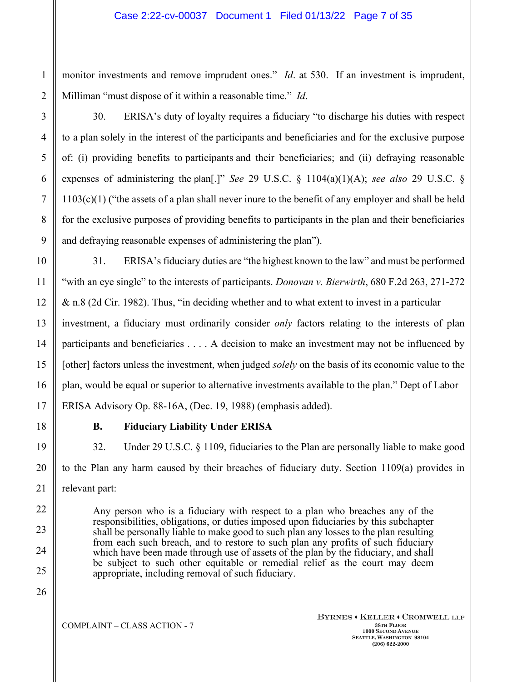monitor investments and remove imprudent ones." *Id*. at 530. If an investment is imprudent, Milliman "must dispose of it within a reasonable time." *Id*.

30. ERISA's duty of loyalty requires a fiduciary "to discharge his duties with respect to a plan solely in the interest of the participants and beneficiaries and for the exclusive purpose of: (i) providing benefits to participants and their beneficiaries; and (ii) defraying reasonable expenses of administering the plan[.]" *See* 29 U.S.C. § 1104(a)(1)(A); *see also* 29 U.S.C. § 1103(c)(1) ("the assets of a plan shall never inure to the benefit of any employer and shall be held for the exclusive purposes of providing benefits to participants in the plan and their beneficiaries and defraying reasonable expenses of administering the plan").

31. ERISA's fiduciary duties are "the highest known to the law" and must be performed "with an eye single" to the interests of participants. *Donovan v. Bierwirth*, 680 F.2d 263, 271-272 & n.8 (2d Cir. 1982). Thus, "in deciding whether and to what extent to invest in a particular investment, a fiduciary must ordinarily consider *only* factors relating to the interests of plan participants and beneficiaries . . . . A decision to make an investment may not be influenced by [other] factors unless the investment, when judged *solely* on the basis of its economic value to the plan, would be equal or superior to alternative investments available to the plan." Dept of Labor ERISA Advisory Op. 88-16A, (Dec. 19, 1988) (emphasis added).

## **B. Fiduciary Liability Under ERISA**

32. Under 29 U.S.C. § 1109, fiduciaries to the Plan are personally liable to make good to the Plan any harm caused by their breaches of fiduciary duty. Section 1109(a) provides in relevant part:

Any person who is a fiduciary with respect to a plan who breaches any of the responsibilities, obligations, or duties imposed upon fiduciaries by this subchapter shall be personally liable to make good to such plan any losses to the plan resulting from each such breach, and to restore to such plan any profits of such fiduciary which have been made through use of assets of the plan by the fiduciary, and shall be subject to such other equitable or remedial relief as the court may deem appropriate, including removal of such fiduciary.

25 26

1

2

3

4

5

6

7

8

9

10

11

12

13

14

15

16

17

18

19

20

21

22

23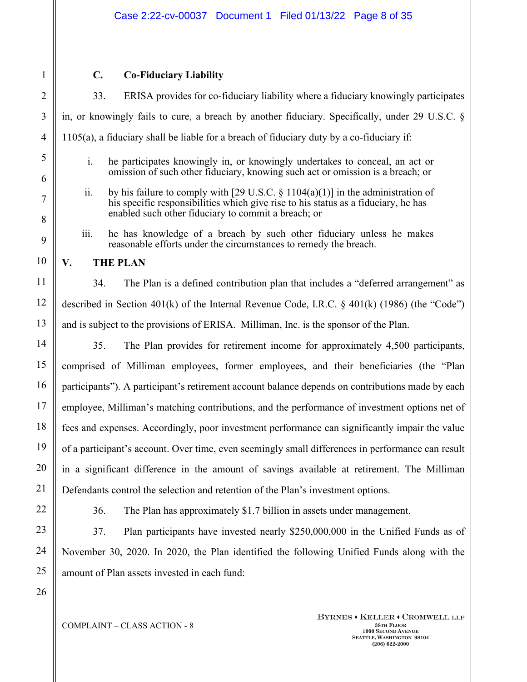## **C. Co-Fiduciary Liability**

33. ERISA provides for co-fiduciary liability where a fiduciary knowingly participates in, or knowingly fails to cure, a breach by another fiduciary. Specifically, under 29 U.S.C. § 1105(a), a fiduciary shall be liable for a breach of fiduciary duty by a co-fiduciary if:

- i. he participates knowingly in, or knowingly undertakes to conceal, an act or omission of such other fiduciary, knowing such act or omission is a breach; or
- ii. by his failure to comply with [29 U.S.C.  $\S$  1104(a)(1)] in the administration of his specific responsibilities which give rise to his status as a fiduciary, he has enabled such other fiduciary to commit a breach; or
- iii. he has knowledge of a breach by such other fiduciary unless he makes reasonable efforts under the circumstances to remedy the breach.

## **V. THE PLAN**

34. The Plan is a defined contribution plan that includes a "deferred arrangement" as described in Section 401(k) of the Internal Revenue Code, I.R.C.  $\frac{1}{2}$  401(k) (1986) (the "Code") and is subject to the provisions of ERISA. Milliman, Inc. is the sponsor of the Plan.

35. The Plan provides for retirement income for approximately 4,500 participants, comprised of Milliman employees, former employees, and their beneficiaries (the "Plan participants"). A participant's retirement account balance depends on contributions made by each employee, Milliman's matching contributions, and the performance of investment options net of fees and expenses. Accordingly, poor investment performance can significantly impair the value of a participant's account. Over time, even seemingly small differences in performance can result in a significant difference in the amount of savings available at retirement. The Milliman Defendants control the selection and retention of the Plan's investment options.

36. The Plan has approximately \$1.7 billion in assets under management.

37. Plan participants have invested nearly \$250,000,000 in the Unified Funds as of November 30, 2020. In 2020, the Plan identified the following Unified Funds along with the amount of Plan assets invested in each fund: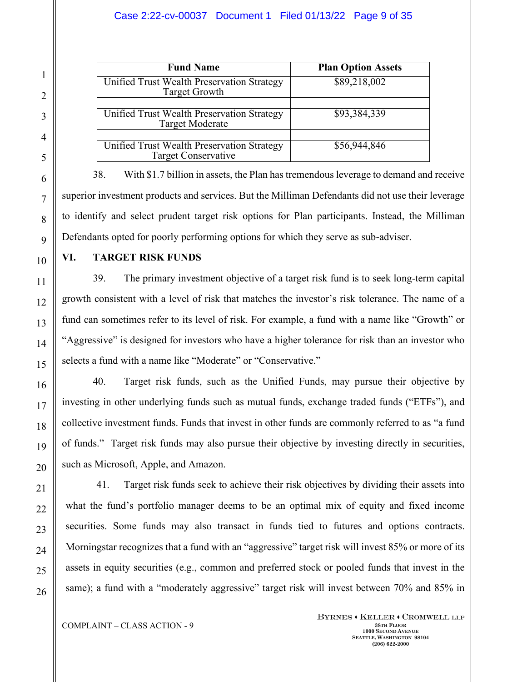| $\mathbf{1}$             |                          |
|--------------------------|--------------------------|
|                          |                          |
| $\overline{3}$           |                          |
| $\overline{\mathcal{L}}$ |                          |
| $\overline{\phantom{0}}$ |                          |
| $\overline{6}$           |                          |
| $\overline{7}$           |                          |
| 8                        | $\mathfrak{t}$           |
| $\overline{9}$           | l                        |
| 10                       | ľ                        |
| 11                       |                          |
| 12                       | $\{$                     |
| $\overline{13}$          | $\mathbf{1}$             |
| 14                       |                          |
| 15                       | ć                        |
| 16                       |                          |
| $\frac{17}{1}$           | $\mathbf{i}$             |
| 18                       | $\mathbf \zeta$          |
| 19                       | $\overline{\phantom{a}}$ |
| 20                       |                          |
| $\overline{21}$          |                          |
|                          |                          |
|                          |                          |
|                          |                          |
|                          |                          |

26

| <b>Fund Name</b>                                                         | <b>Plan Option Assets</b> |
|--------------------------------------------------------------------------|---------------------------|
| Unified Trust Wealth Preservation Strategy<br><b>Target Growth</b>       | \$89,218,002              |
| Unified Trust Wealth Preservation Strategy<br><b>Target Moderate</b>     | \$93,384,339              |
| Unified Trust Wealth Preservation Strategy<br><b>Target Conservative</b> | \$56,944,846              |

38. With \$1.7 billion in assets, the Plan has tremendous leverage to demand and receive superior investment products and services. But the Milliman Defendants did not use their leverage to identify and select prudent target risk options for Plan participants. Instead, the Milliman Defendants opted for poorly performing options for which they serve as sub-adviser.

**VI. TARGET RISK FUNDS**

39. The primary investment objective of a target risk fund is to seek long-term capital growth consistent with a level of risk that matches the investor's risk tolerance. The name of a fund can sometimes refer to its level of risk. For example, a fund with a name like "Growth" or "Aggressive" is designed for investors who have a higher tolerance for risk than an investor who selects a fund with a name like "Moderate" or "Conservative."

40. Target risk funds, such as the Unified Funds, may pursue their objective by investing in other underlying funds such as mutual funds, exchange traded funds ("ETFs"), and collective investment funds. Funds that invest in other funds are commonly referred to as "a fund of funds." Target risk funds may also pursue their objective by investing directly in securities, such as Microsoft, Apple, and Amazon.

41. Target risk funds seek to achieve their risk objectives by dividing their assets into what the fund's portfolio manager deems to be an optimal mix of equity and fixed income securities. Some funds may also transact in funds tied to futures and options contracts. Morningstar recognizes that a fund with an "aggressive" target risk will invest 85% or more of its assets in equity securities (e.g., common and preferred stock or pooled funds that invest in the same); a fund with a "moderately aggressive" target risk will invest between 70% and 85% in

### COMPLAINT – CLASS ACTION - 9 38TH FLOOR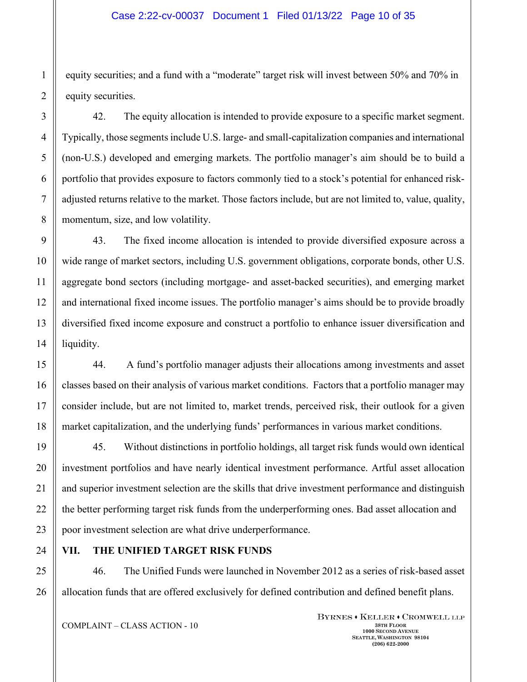#### Case 2:22-cv-00037 Document 1 Filed 01/13/22 Page 10 of 35

equity securities; and a fund with a "moderate" target risk will invest between 50% and 70% in equity securities.

42. The equity allocation is intended to provide exposure to a specific market segment. Typically, those segments include U.S. large- and small-capitalization companies and international (non-U.S.) developed and emerging markets. The portfolio manager's aim should be to build a portfolio that provides exposure to factors commonly tied to a stock's potential for enhanced riskadjusted returns relative to the market. Those factors include, but are not limited to, value, quality, momentum, size, and low volatility.

43. The fixed income allocation is intended to provide diversified exposure across a wide range of market sectors, including U.S. government obligations, corporate bonds, other U.S. aggregate bond sectors (including mortgage- and asset-backed securities), and emerging market and international fixed income issues. The portfolio manager's aims should be to provide broadly diversified fixed income exposure and construct a portfolio to enhance issuer diversification and liquidity.

44. A fund's portfolio manager adjusts their allocations among investments and asset classes based on their analysis of various market conditions. Factors that a portfolio manager may consider include, but are not limited to, market trends, perceived risk, their outlook for a given market capitalization, and the underlying funds' performances in various market conditions.

45. Without distinctions in portfolio holdings, all target risk funds would own identical investment portfolios and have nearly identical investment performance. Artful asset allocation and superior investment selection are the skills that drive investment performance and distinguish the better performing target risk funds from the underperforming ones. Bad asset allocation and poor investment selection are what drive underperformance.

## **VII. THE UNIFIED TARGET RISK FUNDS**

46. The Unified Funds were launched in November 2012 as a series of risk-based asset allocation funds that are offered exclusively for defined contribution and defined benefit plans.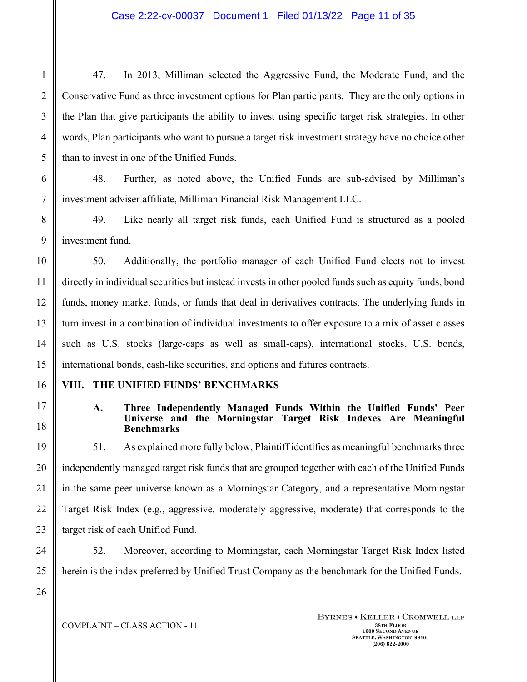47. In 2013, Milliman selected the Aggressive Fund, the Moderate Fund, and the Conservative Fund as three investment options for Plan participants. They are the only options in the Plan that give participants the ability to invest using specific target risk strategies. In other words, Plan participants who want to pursue a target risk investment strategy have no choice other than to invest in one of the Unified Funds.

48. Further, as noted above, the Unified Funds are sub-advised by Milliman's investment adviser affiliate, Milliman Financial Risk Management LLC.

49. Like nearly all target risk funds, each Unified Fund is structured as a pooled investment fund.

50. Additionally, the portfolio manager of each Unified Fund elects not to invest directly in individual securities but instead invests in other pooled funds such as equity funds, bond funds, money market funds, or funds that deal in derivatives contracts. The underlying funds in turn invest in a combination of individual investments to offer exposure to a mix of asset classes such as U.S. stocks (large-caps as well as small-caps), international stocks, U.S. bonds, international bonds, cash-like securities, and options and futures contracts.

## **VIII. THE UNIFIED FUNDS' BENCHMARKS**

### **A. Three Independently Managed Funds Within the Unified Funds' Peer Universe and the Morningstar Target Risk Indexes Are Meaningful Benchmarks**

51. As explained more fully below, Plaintiff identifies as meaningful benchmarks three independently managed target risk funds that are grouped together with each of the Unified Funds in the same peer universe known as a Morningstar Category, and a representative Morningstar Target Risk Index (e.g., aggressive, moderately aggressive, moderate) that corresponds to the target risk of each Unified Fund.

52. Moreover, according to Morningstar, each Morningstar Target Risk Index listed herein is the index preferred by Unified Trust Company as the benchmark for the Unified Funds.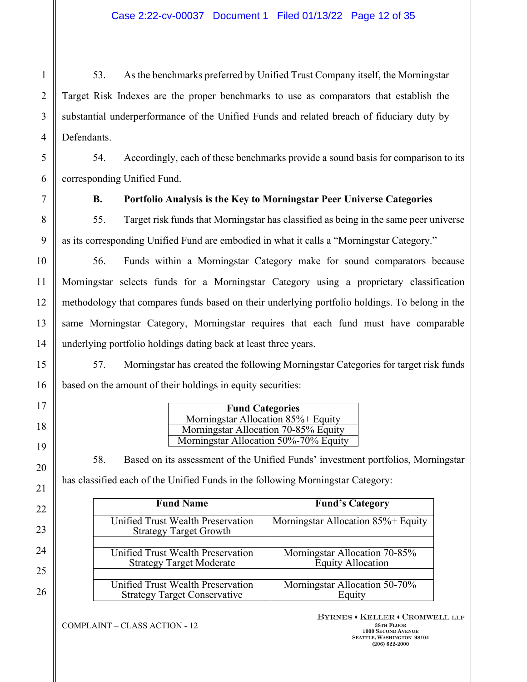53. As the benchmarks preferred by Unified Trust Company itself, the Morningstar Target Risk Indexes are the proper benchmarks to use as comparators that establish the substantial underperformance of the Unified Funds and related breach of fiduciary duty by Defendants.

54. Accordingly, each of these benchmarks provide a sound basis for comparison to its corresponding Unified Fund.

## **B. Portfolio Analysis is the Key to Morningstar Peer Universe Categories**

55. Target risk funds that Morningstar has classified as being in the same peer universe as its corresponding Unified Fund are embodied in what it calls a "Morningstar Category."

56. Funds within a Morningstar Category make for sound comparators because Morningstar selects funds for a Morningstar Category using a proprietary classification methodology that compares funds based on their underlying portfolio holdings. To belong in the same Morningstar Category, Morningstar requires that each fund must have comparable underlying portfolio holdings dating back at least three years.

57. Morningstar has created the following Morningstar Categories for target risk funds based on the amount of their holdings in equity securities:

| <b>Fund Categories</b>                |  |  |  |  |
|---------------------------------------|--|--|--|--|
| Morningstar Allocation 85%+ Equity    |  |  |  |  |
| Morningstar Allocation 70-85% Equity  |  |  |  |  |
| Morningstar Allocation 50%-70% Equity |  |  |  |  |

58. Based on its assessment of the Unified Funds' investment portfolios, Morningstar has classified each of the Unified Funds in the following Morningstar Category:

| <b>Fund Name</b>                                                   | <b>Fund's Category</b>             |  |  |  |
|--------------------------------------------------------------------|------------------------------------|--|--|--|
| Unified Trust Wealth Preservation<br><b>Strategy Target Growth</b> | Morningstar Allocation 85%+ Equity |  |  |  |
| <b>Unified Trust Wealth Preservation</b>                           | Morningstar Allocation 70-85%      |  |  |  |
| <b>Strategy Target Moderate</b>                                    | <b>Equity Allocation</b>           |  |  |  |
| Unified Trust Wealth Preservation                                  | Morningstar Allocation 50-70%      |  |  |  |
| <b>Strategy Target Conservative</b>                                | Equity                             |  |  |  |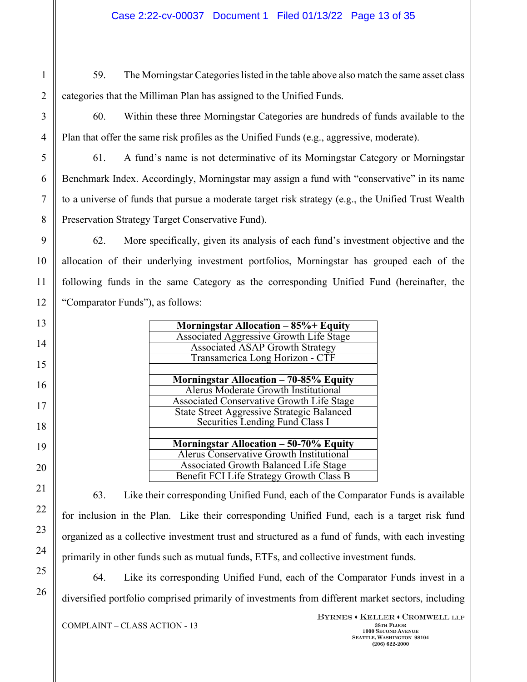- 59. The Morningstar Categories listed in the table above also match the same asset class categories that the Milliman Plan has assigned to the Unified Funds.
	- 60. Within these three Morningstar Categories are hundreds of funds available to the Plan that offer the same risk profiles as the Unified Funds (e.g., aggressive, moderate).

61. A fund's name is not determinative of its Morningstar Category or Morningstar Benchmark Index. Accordingly, Morningstar may assign a fund with "conservative" in its name to a universe of funds that pursue a moderate target risk strategy (e.g., the Unified Trust Wealth Preservation Strategy Target Conservative Fund).

62. More specifically, given its analysis of each fund's investment objective and the allocation of their underlying investment portfolios, Morningstar has grouped each of the following funds in the same Category as the corresponding Unified Fund (hereinafter, the "Comparator Funds"), as follows:

| Morningstar Allocation $-85%$ + Equity            |
|---------------------------------------------------|
| <b>Associated Aggressive Growth Life Stage</b>    |
| <b>Associated ASAP Growth Strategy</b>            |
| Transamerica Long Horizon - CTF                   |
|                                                   |
| Morningstar Allocation - 70-85% Equity            |
| <b>Alerus Moderate Growth Institutional</b>       |
| <b>Associated Conservative Growth Life Stage</b>  |
| <b>State Street Aggressive Strategic Balanced</b> |
| Securities Lending Fund Class I                   |
|                                                   |
| Morningstar Allocation - 50-70% Equity            |
| Alerus Conservative Growth Institutional          |
| <b>Associated Growth Balanced Life Stage</b>      |
| Benefit FCI Life Strategy Growth Class B          |

63. Like their corresponding Unified Fund, each of the Comparator Funds is available for inclusion in the Plan. Like their corresponding Unified Fund, each is a target risk fund organized as a collective investment trust and structured as a fund of funds, with each investing primarily in other funds such as mutual funds, ETFs, and collective investment funds.

64. Like its corresponding Unified Fund, each of the Comparator Funds invest in a diversified portfolio comprised primarily of investments from different market sectors, including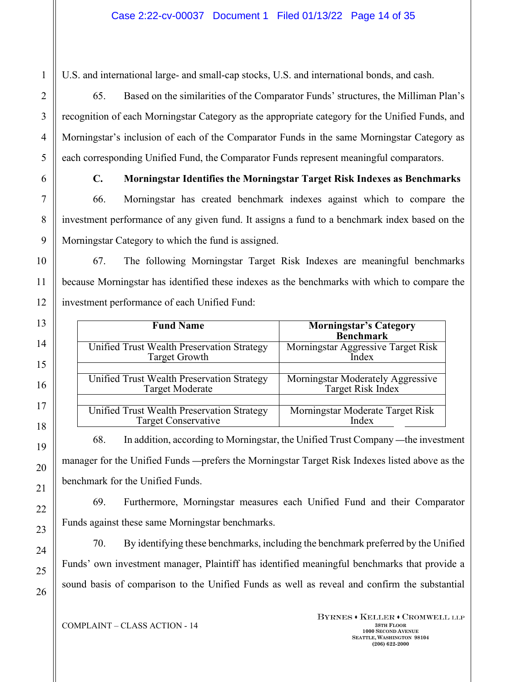U.S. and international large- and small-cap stocks, U.S. and international bonds, and cash.

65. Based on the similarities of the Comparator Funds' structures, the Milliman Plan's recognition of each Morningstar Category as the appropriate category for the Unified Funds, and Morningstar's inclusion of each of the Comparator Funds in the same Morningstar Category as each corresponding Unified Fund, the Comparator Funds represent meaningful comparators.

### **C. Morningstar Identifies the Morningstar Target Risk Indexes as Benchmarks**

66. Morningstar has created benchmark indexes against which to compare the investment performance of any given fund. It assigns a fund to a benchmark index based on the Morningstar Category to which the fund is assigned.

67. The following Morningstar Target Risk Indexes are meaningful benchmarks because Morningstar has identified these indexes as the benchmarks with which to compare the investment performance of each Unified Fund:

| <b>Fund Name</b>                           | <b>Morningstar's Category</b><br><b>Benchmark</b> |
|--------------------------------------------|---------------------------------------------------|
| Unified Trust Wealth Preservation Strategy | Morningstar Aggressive Target Risk                |
| <b>Target Growth</b>                       | Index                                             |
| Unified Trust Wealth Preservation Strategy | Morningstar Moderately Aggressive                 |
| <b>Target Moderate</b>                     | Target Risk Index                                 |
| Unified Trust Wealth Preservation Strategy | Morningstar Moderate Target Risk                  |
| <b>Target Conservative</b>                 | Index                                             |

68. In addition, according to Morningstar, the Unified Trust Company —the investment manager for the Unified Funds —prefers the Morningstar Target Risk Indexes listed above as the benchmark for the Unified Funds.

69. Furthermore, Morningstar measures each Unified Fund and their Comparator Funds against these same Morningstar benchmarks.

70. By identifying these benchmarks, including the benchmark preferred by the Unified Funds' own investment manager, Plaintiff has identified meaningful benchmarks that provide a sound basis of comparison to the Unified Funds as well as reveal and confirm the substantial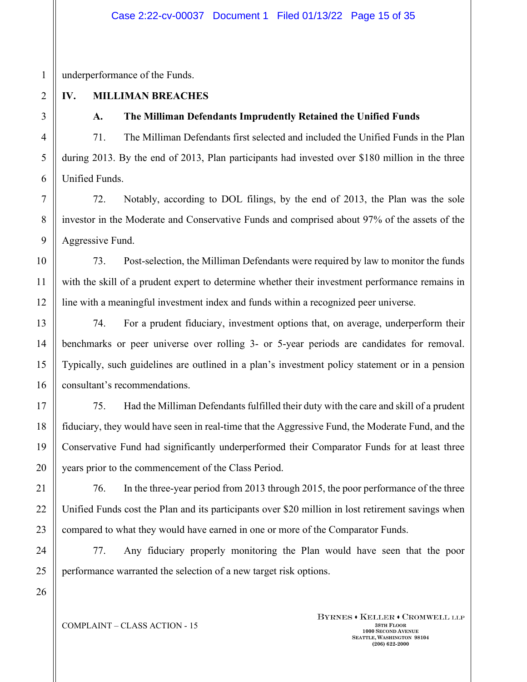underperformance of the Funds.

# **IV. MILLIMAN BREACHES**

# **A. The Milliman Defendants Imprudently Retained the Unified Funds**

71. The Milliman Defendants first selected and included the Unified Funds in the Plan during 2013. By the end of 2013, Plan participants had invested over \$180 million in the three Unified Funds.

72. Notably, according to DOL filings, by the end of 2013, the Plan was the sole investor in the Moderate and Conservative Funds and comprised about 97% of the assets of the Aggressive Fund.

73. Post-selection, the Milliman Defendants were required by law to monitor the funds with the skill of a prudent expert to determine whether their investment performance remains in line with a meaningful investment index and funds within a recognized peer universe.

74. For a prudent fiduciary, investment options that, on average, underperform their benchmarks or peer universe over rolling 3- or 5-year periods are candidates for removal. Typically, such guidelines are outlined in a plan's investment policy statement or in a pension consultant's recommendations.

75. Had the Milliman Defendants fulfilled their duty with the care and skill of a prudent fiduciary, they would have seen in real-time that the Aggressive Fund, the Moderate Fund, and the Conservative Fund had significantly underperformed their Comparator Funds for at least three years prior to the commencement of the Class Period.

76. In the three-year period from 2013 through 2015, the poor performance of the three Unified Funds cost the Plan and its participants over \$20 million in lost retirement savings when compared to what they would have earned in one or more of the Comparator Funds.

77. Any fiduciary properly monitoring the Plan would have seen that the poor performance warranted the selection of a new target risk options.

COMPLAINT – CLASS ACTION - 15 **38TH FLOOR**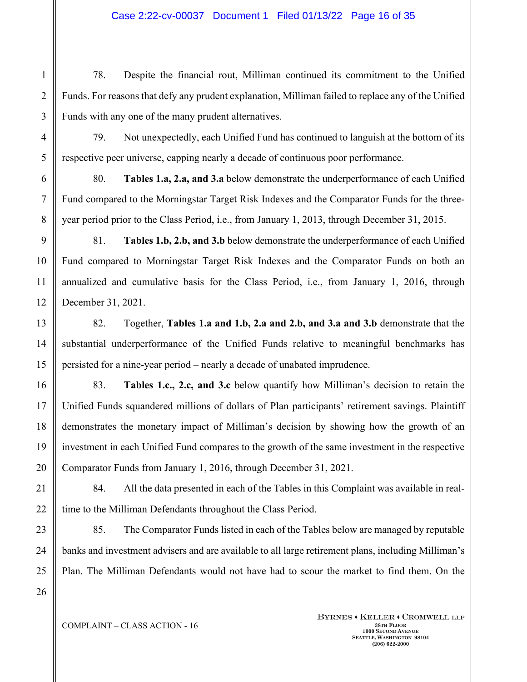78. Despite the financial rout, Milliman continued its commitment to the Unified Funds. For reasons that defy any prudent explanation, Milliman failed to replace any of the Unified Funds with any one of the many prudent alternatives.

79. Not unexpectedly, each Unified Fund has continued to languish at the bottom of its respective peer universe, capping nearly a decade of continuous poor performance.

80. **Tables 1.a, 2.a, and 3.a** below demonstrate the underperformance of each Unified Fund compared to the Morningstar Target Risk Indexes and the Comparator Funds for the threeyear period prior to the Class Period, i.e., from January 1, 2013, through December 31, 2015.

81. **Tables 1.b, 2.b, and 3.b** below demonstrate the underperformance of each Unified Fund compared to Morningstar Target Risk Indexes and the Comparator Funds on both an annualized and cumulative basis for the Class Period, i.e., from January 1, 2016, through December 31, 2021.

82. Together, **Tables 1.a and 1.b, 2.a and 2.b, and 3.a and 3.b** demonstrate that the substantial underperformance of the Unified Funds relative to meaningful benchmarks has persisted for a nine-year period – nearly a decade of unabated imprudence.

83. **Tables 1.c., 2.c, and 3.c** below quantify how Milliman's decision to retain the Unified Funds squandered millions of dollars of Plan participants' retirement savings. Plaintiff demonstrates the monetary impact of Milliman's decision by showing how the growth of an investment in each Unified Fund compares to the growth of the same investment in the respective Comparator Funds from January 1, 2016, through December 31, 2021.

84. All the data presented in each of the Tables in this Complaint was available in realtime to the Milliman Defendants throughout the Class Period.

85. The Comparator Funds listed in each of the Tables below are managed by reputable banks and investment advisers and are available to all large retirement plans, including Milliman's Plan. The Milliman Defendants would not have had to scour the market to find them. On the

1

2

3

4

5

## COMPLAINT – CLASS ACTION - 16 **38TH FLOOR**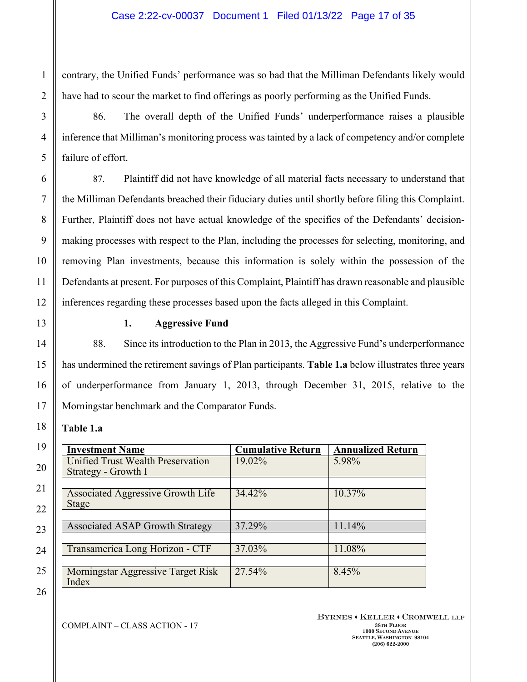contrary, the Unified Funds' performance was so bad that the Milliman Defendants likely would have had to scour the market to find offerings as poorly performing as the Unified Funds.

86. The overall depth of the Unified Funds' underperformance raises a plausible inference that Milliman's monitoring process was tainted by a lack of competency and/or complete failure of effort.

87. Plaintiff did not have knowledge of all material facts necessary to understand that the Milliman Defendants breached their fiduciary duties until shortly before filing this Complaint. Further, Plaintiff does not have actual knowledge of the specifics of the Defendants' decisionmaking processes with respect to the Plan, including the processes for selecting, monitoring, and removing Plan investments, because this information is solely within the possession of the Defendants at present. For purposes of this Complaint, Plaintiff has drawn reasonable and plausible inferences regarding these processes based upon the facts alleged in this Complaint.

#### **1. Aggressive Fund**

88. Since its introduction to the Plan in 2013, the Aggressive Fund's underperformance has undermined the retirement savings of Plan participants. **Table 1.a** below illustrates three years of underperformance from January 1, 2013, through December 31, 2015, relative to the Morningstar benchmark and the Comparator Funds.

### **Table 1.a**

| <b>Investment Name</b>                   | <b>Cumulative Return</b> | <b>Annualized Return</b> |
|------------------------------------------|--------------------------|--------------------------|
| Unified Trust Wealth Preservation        | 19.02%                   | 5.98%                    |
| Strategy - Growth I                      |                          |                          |
|                                          |                          |                          |
| <b>Associated Aggressive Growth Life</b> | 34.42%                   | 10.37%                   |
| <b>Stage</b>                             |                          |                          |
|                                          |                          |                          |
| <b>Associated ASAP Growth Strategy</b>   | 37.29%                   | 11.14%                   |
|                                          |                          |                          |
| Transamerica Long Horizon - CTF          | 37.03%                   | 11.08%                   |
|                                          |                          |                          |
| Morningstar Aggressive Target Risk       | 27.54%                   | 8.45%                    |
| Index                                    |                          |                          |

BYRNES . KELLER . CROMWELL LLP **1000 SECOND AVENUE SEATTLE, WASHINGTON 98104 (206) 622-2000**

23

24

25

26

1

2

3

4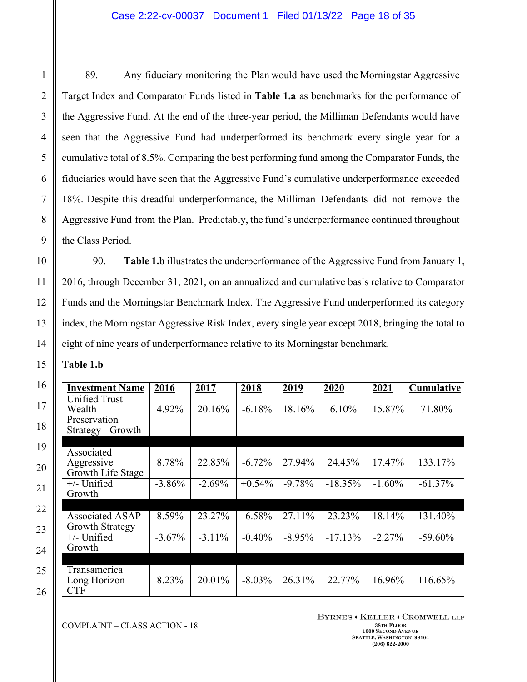89. Any fiduciary monitoring the Plan would have used the Morningstar Aggressive Target Index and Comparator Funds listed in **Table 1.a** as benchmarks for the performance of the Aggressive Fund. At the end of the three-year period, the Milliman Defendants would have seen that the Aggressive Fund had underperformed its benchmark every single year for a cumulative total of 8.5%. Comparing the best performing fund among the Comparator Funds, the fiduciaries would have seen that the Aggressive Fund's cumulative underperformance exceeded 18%. Despite this dreadful underperformance, the Milliman Defendants did not remove the Aggressive Fund from the Plan. Predictably, the fund's underperformance continued throughout the Class Period.

90. **Table 1.b** illustrates the underperformance of the Aggressive Fund from January 1, 2016, through December 31, 2021, on an annualized and cumulative basis relative to Comparator Funds and the Morningstar Benchmark Index. The Aggressive Fund underperformed its category index, the Morningstar Aggressive Risk Index, every single year except 2018, bringing the total to eight of nine years of underperformance relative to its Morningstar benchmark.

**Table 1.b** 

| <b>Investment Name</b>                                       | 2016      | 2017      | 2018      | 2019      | 2020       | 2021      | <b>Cumulative</b> |
|--------------------------------------------------------------|-----------|-----------|-----------|-----------|------------|-----------|-------------------|
| Unified Trust<br>Wealth<br>Preservation<br>Strategy - Growth | 4.92%     | 20.16%    | $-6.18%$  | 18.16%    | 6.10%      | 15.87%    | 71.80%            |
|                                                              |           |           |           |           |            |           |                   |
| Associated<br>Aggressive<br>Growth Life Stage                | 8.78%     | 22.85%    | $-6.72%$  | 27.94%    | 24.45%     | 17.47%    | 133.17%           |
| $+/-$ Unified<br>Growth                                      | $-3.86\%$ | $-2.69%$  | $+0.54\%$ | $-9.78%$  | $-18.35\%$ | $-1.60%$  | $-61.37\%$        |
|                                                              |           |           |           |           |            |           |                   |
| Associated $\overline{ASAP}$<br>Growth Strategy              | 8.59%     | 23.27%    | $-6.58\%$ | 27.11\%   | 23.23%     | 18.14%    | 131.40%           |
| $+/-$ Unified<br>Growth                                      | $-3.67\%$ | $-3.11\%$ | $-0.40%$  | $-8.95\%$ | $-17.13\%$ | $-2.27\%$ | $-59.60\%$        |
|                                                              |           |           |           |           |            |           |                   |
| Transamerica<br>Long Horizon -<br><b>CTF</b>                 | 8.23%     | 20.01%    | $-8.03\%$ | 26.31%    | 22.77%     | 16.96%    | 116.65%           |

COMPLAINT – CLASS ACTION - 18 **38TH FLOOR** 

BYRNES . KELLER . CROMWELL LLP

**1000 SECOND AVENUE SEATTLE, WASHINGTON 98104 (206) 622-2000**

26

1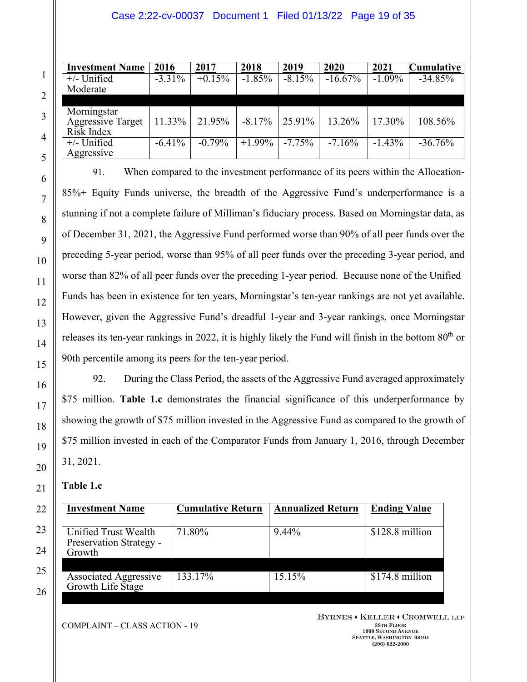### Case 2:22-cv-00037 Document 1 Filed 01/13/22 Page 19 of 35

| <b>Investment Name</b>   | 2016      | 2017     | 2018      | 2019     | 2020      | 2021     | <b>Cumulative</b> |
|--------------------------|-----------|----------|-----------|----------|-----------|----------|-------------------|
| $+/-$ Unified            | $-3.31\%$ | $+0.15%$ | $-1.85%$  | $-8.15%$ | $-16.67%$ | $-1.09%$ | $-34.85%$         |
| Moderate                 |           |          |           |          |           |          |                   |
|                          |           |          |           |          |           |          |                   |
| Morningstar              |           |          |           |          |           |          |                   |
| <b>Aggressive Target</b> | 11.33%    | 21.95%   | $-8.17\%$ | 25.91%   | 13.26%    | 17.30%   | 108.56%           |
| Risk Index               |           |          |           |          |           |          |                   |
| $+/-$ Unified            | $-6.41%$  | $-0.79%$ | $+1.99\%$ | $-7.75%$ | $-7.16%$  | $-1.43%$ | $-36.76%$         |
| Aggressive               |           |          |           |          |           |          |                   |

91. When compared to the investment performance of its peers within the Allocation-85%+ Equity Funds universe, the breadth of the Aggressive Fund's underperformance is a stunning if not a complete failure of Milliman's fiduciary process. Based on Morningstar data, as of December 31, 2021, the Aggressive Fund performed worse than 90% of all peer funds over the preceding 5-year period, worse than 95% of all peer funds over the preceding 3-year period, and worse than 82% of all peer funds over the preceding 1-year period. Because none of the Unified Funds has been in existence for ten years, Morningstar's ten-year rankings are not yet available. However, given the Aggressive Fund's dreadful 1-year and 3-year rankings, once Morningstar releases its ten-year rankings in 2022, it is highly likely the Fund will finish in the bottom 80<sup>th</sup> or 90th percentile among its peers for the ten-year period.

92. During the Class Period, the assets of the Aggressive Fund averaged approximately \$75 million. **Table 1.c** demonstrates the financial significance of this underperformance by showing the growth of \$75 million invested in the Aggressive Fund as compared to the growth of \$75 million invested in each of the Comparator Funds from January 1, 2016, through December 31, 2021.

### **Table 1.c**

| <b>Investment Name</b>       | <b>Cumulative Return</b> | <b>Annualized Return</b> | <b>Ending Value</b> |  |
|------------------------------|--------------------------|--------------------------|---------------------|--|
|                              |                          |                          |                     |  |
| Unified Trust Wealth         | 71.80%                   | 9.44%                    | \$128.8 million     |  |
| Preservation Strategy -      |                          |                          |                     |  |
| Growth                       |                          |                          |                     |  |
|                              |                          |                          |                     |  |
| <b>Associated Aggressive</b> | 133.17%                  | 15.15%                   | \$174.8 million     |  |
| Growth Life Stage            |                          |                          |                     |  |
|                              |                          |                          |                     |  |

COMPLAINT – CLASS ACTION - 19 **38TH FLOOR**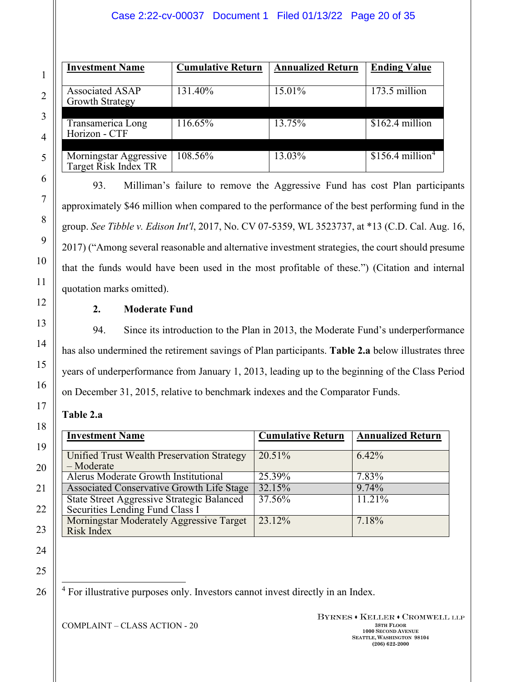### Case 2:22-cv-00037 Document 1 Filed 01/13/22 Page 20 of 35

| <b>Investment Name</b>                         | <b>Cumulative Return</b> | <b>Annualized Return</b> | <b>Ending Value</b>                      |
|------------------------------------------------|--------------------------|--------------------------|------------------------------------------|
| Associated ASAP<br><b>Growth Strategy</b>      | 131.40%                  | 15.01%                   | $173.5$ million                          |
| Transamerica Long<br>Horizon - CTF             | 116.65%                  | 13.75%                   | \$162.4 million                          |
| Morningstar Aggressive<br>Target Risk Index TR | 108.56%                  | 13.03%                   | $$15\overline{6.4}$ million <sup>4</sup> |

93. Milliman's failure to remove the Aggressive Fund has cost Plan participants approximately \$46 million when compared to the performance of the best performing fund in the group. *See Tibble v. Edison Int'l*, 2017, No. CV 07-5359, WL 3523737, at \*13 (C.D. Cal. Aug. 16, 2017) ("Among several reasonable and alternative investment strategies, the court should presume that the funds would have been used in the most profitable of these.") (Citation and internal quotation marks omitted).

## **2. Moderate Fund**

94. Since its introduction to the Plan in 2013, the Moderate Fund's underperformance has also undermined the retirement savings of Plan participants. **Table 2.a** below illustrates three years of underperformance from January 1, 2013, leading up to the beginning of the Class Period on December 31, 2015, relative to benchmark indexes and the Comparator Funds.

### **Table 2.a**

| <b>Investment Name</b>                                                               | <b>Cumulative Return</b> | <b>Annualized Return</b> |
|--------------------------------------------------------------------------------------|--------------------------|--------------------------|
| Unified Trust Wealth Preservation Strategy<br>$-Moderate$                            | 20.51%                   | $6.42\%$                 |
| Alerus Moderate Growth Institutional                                                 | 25.39%                   | 7.83%                    |
| Associated Conservative Growth Life Stage                                            | 32.15%                   | 9.74%                    |
| <b>State Street Aggressive Strategic Balanced</b><br>Securities Lending Fund Class I | 37.56%                   | 11.21%                   |
| Morningstar Moderately Aggressive Target<br>Risk Index                               | 23.12%                   | 7.18%                    |

25

<span id="page-19-0"></span>26

1

2

3

4

5

6

7

8

9

10

11

12

13

14

15

16

17

18

19

20

21

22

23

24

<sup>4</sup> For illustrative purposes only. Investors cannot invest directly in an Index.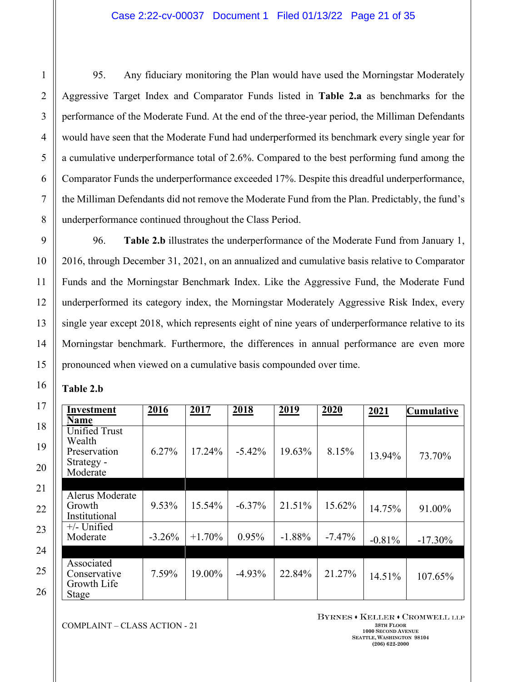95. Any fiduciary monitoring the Plan would have used the Morningstar Moderately Aggressive Target Index and Comparator Funds listed in **Table 2.a** as benchmarks for the performance of the Moderate Fund. At the end of the three-year period, the Milliman Defendants would have seen that the Moderate Fund had underperformed its benchmark every single year for a cumulative underperformance total of 2.6%. Compared to the best performing fund among the Comparator Funds the underperformance exceeded 17%. Despite this dreadful underperformance, the Milliman Defendants did not remove the Moderate Fund from the Plan. Predictably, the fund's underperformance continued throughout the Class Period.

96. **Table 2.b** illustrates the underperformance of the Moderate Fund from January 1, 2016, through December 31, 2021, on an annualized and cumulative basis relative to Comparator Funds and the Morningstar Benchmark Index. Like the Aggressive Fund, the Moderate Fund underperformed its category index, the Morningstar Moderately Aggressive Risk Index, every single year except 2018, which represents eight of nine years of underperformance relative to its Morningstar benchmark. Furthermore, the differences in annual performance are even more pronounced when viewed on a cumulative basis compounded over time.

| <b>Table 2.b</b> |  |
|------------------|--|
|------------------|--|

| Investment<br><b>Name</b>                                                | 2016     | 2017     | 2018      | 2019     | 2020      | 2021     | <b>Cumulative</b> |
|--------------------------------------------------------------------------|----------|----------|-----------|----------|-----------|----------|-------------------|
| <b>Unified Trust</b><br>Wealth<br>Preservation<br>Strategy -<br>Moderate | 6.27%    | 17.24%   | $-5.42%$  | 19.63%   | 8.15%     | 13.94%   | 73.70%            |
| Alerus Moderate<br>Growth<br>Institutional                               | 9.53%    | 15.54%   | $-6.37%$  | 21.51%   | 15.62%    | 14.75%   | 91.00%            |
| $+/-$ Unified<br>Moderate                                                | $-3.26%$ | $+1.70%$ | 0.95%     | $-1.88%$ | $-7.47\%$ | $-0.81%$ | $-17.30\%$        |
| Associated<br>Conservative<br>Growth Life<br><b>Stage</b>                | 7.59%    | 19.00%   | $-4.93\%$ | 22.84%   | 21.27%    | 14.51%   | 107.65%           |

COMPLAINT – CLASS ACTION - 21 **38TH FLOOR** 

BYRNES . KELLER . CROMWELL LLP **1000 SECOND AVENUE**

**SEATTLE, WASHINGTON 98104 (206) 622-2000**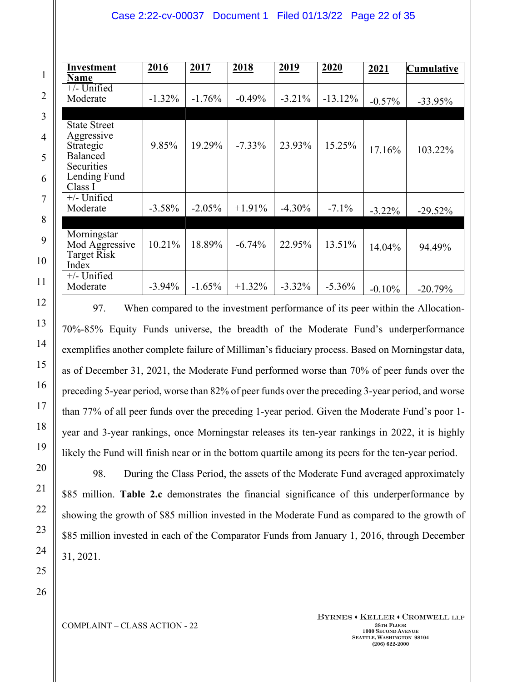#### Case 2:22-cv-00037 Document 1 Filed 01/13/22 Page 22 of 35

| Investment<br>Name                                                                                  | 2016      | 2017      | 2018      | 2019      | 2020      | 2021      | <b>Cumulative</b> |
|-----------------------------------------------------------------------------------------------------|-----------|-----------|-----------|-----------|-----------|-----------|-------------------|
| $+/-$ Unified<br>Moderate                                                                           | $-1.32%$  | $-1.76%$  | $-0.49%$  | $-3.21\%$ | $-13.12%$ | $-0.57%$  | $-33.95%$         |
| <b>State Street</b><br>Aggressive<br>Strategic<br>Balanced<br>Securities<br>Lending Fund<br>Class I | 9.85%     | 19.29%    | $-7.33\%$ | 23.93%    | 15.25%    | 17.16%    | 103.22%           |
| $+/-$ Unified<br>Moderate                                                                           | $-3.58\%$ | $-2.05\%$ | $+1.91\%$ | $-4.30\%$ | $-7.1\%$  | $-3.22\%$ | $-29.52%$         |
| Morningstar<br>Mod Aggressive<br>Target Risk<br>Index                                               | 10.21%    | 18.89%    | $-6.74%$  | 22.95%    | 13.51%    | 14.04%    | 94.49%            |
| $+/-$ Unified<br>Moderate                                                                           | $-3.94\%$ | $-1.65%$  | $+1.32\%$ | $-3.32\%$ | $-5.36\%$ | $-0.10%$  | $-20.79%$         |

97. When compared to the investment performance of its peer within the Allocation-70%-85% Equity Funds universe, the breadth of the Moderate Fund's underperformance exemplifies another complete failure of Milliman's fiduciary process. Based on Morningstar data, as of December 31, 2021, the Moderate Fund performed worse than 70% of peer funds over the preceding 5-year period, worse than 82% of peer funds over the preceding 3-year period, and worse than 77% of all peer funds over the preceding 1-year period. Given the Moderate Fund's poor 1 year and 3-year rankings, once Morningstar releases its ten-year rankings in 2022, it is highly likely the Fund will finish near or in the bottom quartile among its peers for the ten-year period.

98. During the Class Period, the assets of the Moderate Fund averaged approximately \$85 million. **Table 2.c** demonstrates the financial significance of this underperformance by showing the growth of \$85 million invested in the Moderate Fund as compared to the growth of \$85 million invested in each of the Comparator Funds from January 1, 2016, through December 31, 2021.

26

1

2

3

4

5

6

7

8

9

10

11

12

13

14

15

16

17

18

19

20

21

22

23

24

25

COMPLAINT – CLASS ACTION - 22 **38TH FLOOR**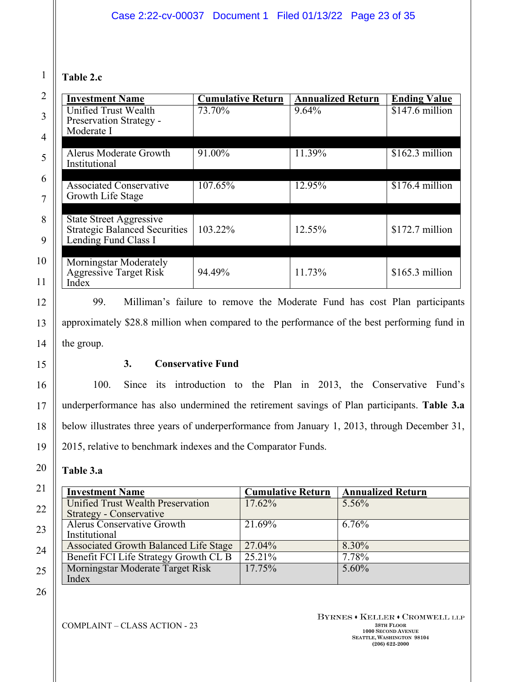# **Table 2.c**

1

2

3

4

5

6

7

8

9

10

11

12

13

14

15

16

17

18

19

20

21

22

23

24

| <b>Investment Name</b>                                                                         | <b>Cumulative Return</b> | <b>Annualized Return</b> | <b>Ending Value</b> |
|------------------------------------------------------------------------------------------------|--------------------------|--------------------------|---------------------|
| Unified Trust Wealth                                                                           | 73.70%                   | 9.64%                    | $$147.6$ million    |
| Preservation Strategy -                                                                        |                          |                          |                     |
| Moderate I                                                                                     |                          |                          |                     |
| <b>Alerus Moderate Growth</b><br>Institutional                                                 | 91.00%                   | 11.39%                   | $$162.3$ million    |
|                                                                                                |                          |                          |                     |
| <b>Associated Conservative</b><br>Growth Life Stage                                            | 107.65%                  | 12.95%                   | \$176.4 million     |
|                                                                                                |                          |                          |                     |
| <b>State Street Aggressive</b><br><b>Strategic Balanced Securities</b><br>Lending Fund Class I | 103.22%                  | 12.55%                   | $$172.7$ million    |
|                                                                                                |                          |                          |                     |
| Morningstar Moderately<br><b>Aggressive Target Risk</b><br>Index                               | 94.49%                   | 11.73%                   | $$165.3$ million    |

99. Milliman's failure to remove the Moderate Fund has cost Plan participants approximately \$28.8 million when compared to the performance of the best performing fund in the group.

## **3. Conservative Fund**

100. Since its introduction to the Plan in 2013, the Conservative Fund's underperformance has also undermined the retirement savings of Plan participants. **Table 3.a** below illustrates three years of underperformance from January 1, 2013, through December 31, 2015, relative to benchmark indexes and the Comparator Funds.

## **Table 3.a**

| <b>Investment Name</b>                       | <b>Cumulative Return</b> | <b>Annualized Return</b> |
|----------------------------------------------|--------------------------|--------------------------|
| Unified Trust Wealth Preservation            | 17.62%                   | 5.56%                    |
| Strategy - Conservative                      |                          |                          |
| <b>Alerus Conservative Growth</b>            | 21.69%                   | 6.76%                    |
| Institutional                                |                          |                          |
| <b>Associated Growth Balanced Life Stage</b> | 27.04%                   | 8.30%                    |
| Benefit FCI Life Strategy Growth CL B        | $25.21\%$                | 7.78%                    |
| Morningstar Moderate Target Risk             | 17.75%                   | $5.60\%$                 |
| Index                                        |                          |                          |

26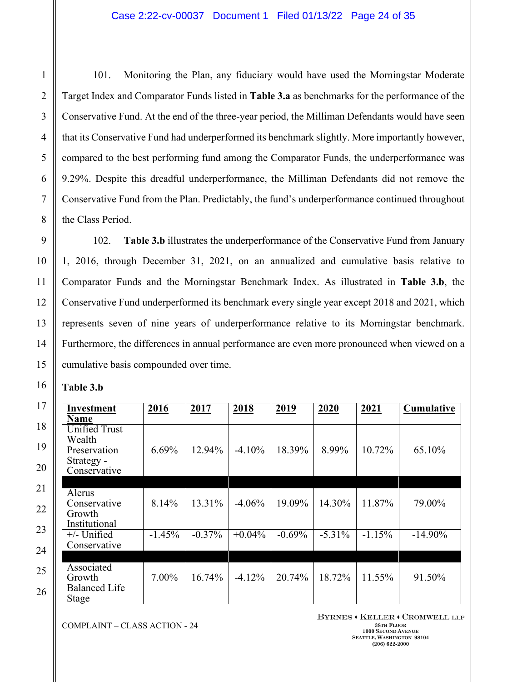101. Monitoring the Plan, any fiduciary would have used the Morningstar Moderate Target Index and Comparator Funds listed in **Table 3.a** as benchmarks for the performance of the Conservative Fund. At the end of the three-year period, the Milliman Defendants would have seen that its Conservative Fund had underperformed its benchmark slightly. More importantly however, compared to the best performing fund among the Comparator Funds, the underperformance was 9.29%. Despite this dreadful underperformance, the Milliman Defendants did not remove the Conservative Fund from the Plan. Predictably, the fund's underperformance continued throughout the Class Period.

102. **Table 3.b** illustrates the underperformance of the Conservative Fund from January 1, 2016, through December 31, 2021, on an annualized and cumulative basis relative to Comparator Funds and the Morningstar Benchmark Index. As illustrated in **Table 3.b**, the Conservative Fund underperformed its benchmark every single year except 2018 and 2021, which represents seven of nine years of underperformance relative to its Morningstar benchmark. Furthermore, the differences in annual performance are even more pronounced when viewed on a cumulative basis compounded over time.

| <b>Table 3.b</b> |  |
|------------------|--|
|------------------|--|

| Investment                                                                   | 2016     | 2017      | 2018      | 2019     | 2020      | 2021     | Cumulative |
|------------------------------------------------------------------------------|----------|-----------|-----------|----------|-----------|----------|------------|
| <b>Name</b>                                                                  |          |           |           |          |           |          |            |
| <b>Unified Trust</b><br>Wealth<br>Preservation<br>Strategy -<br>Conservative | $6.69\%$ | 12.94%    | $-4.10\%$ | 18.39%   | 8.99%     | 10.72%   | 65.10%     |
|                                                                              |          |           |           |          |           |          |            |
| Alerus<br>Conservative<br>Growth<br>Institutional                            | 8.14%    | 13.31%    | $-4.06%$  | 19.09%   | 14.30%    | 11.87%   | 79.00%     |
| $+/-$ Unified<br>Conservative                                                | $-1.45%$ | $-0.37\%$ | $+0.04\%$ | $-0.69%$ | $-5.31\%$ | $-1.15%$ | $-14.90\%$ |
|                                                                              |          |           |           |          |           |          |            |
| Associated<br>Growth<br><b>Balanced Life</b><br>Stage                        | $7.00\%$ | 16.74%    | $-4.12\%$ | 20.74%   | 18.72%    | 11.55%   | 91.50%     |

COMPLAINT – CLASS ACTION - 24 **38TH FLOOR**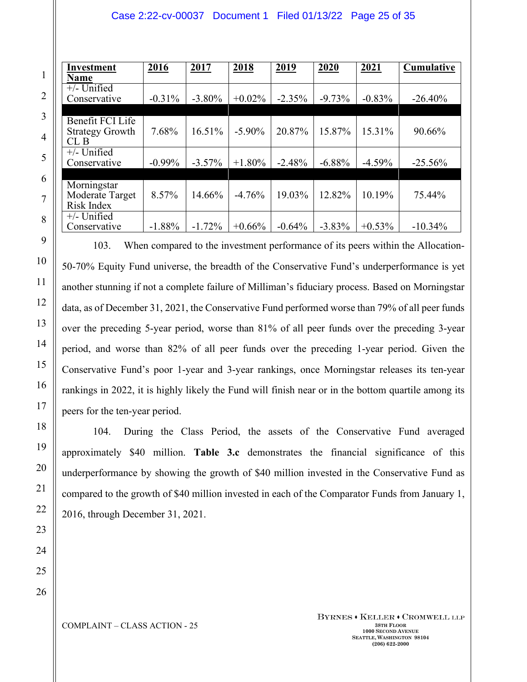#### Case 2:22-cv-00037 Document 1 Filed 01/13/22 Page 25 of 35

| Investment             | 2016      | 2017      | 2018      | <u>2019</u> | 2020      | <u>2021</u> | <b>Cumulative</b> |
|------------------------|-----------|-----------|-----------|-------------|-----------|-------------|-------------------|
| <b>Name</b>            |           |           |           |             |           |             |                   |
| $+/-$ Unified          |           |           |           |             |           |             |                   |
| Conservative           | $-0.31%$  | $-3.80\%$ | $+0.02\%$ | $-2.35%$    | $-9.73%$  | $-0.83%$    | $-26.40%$         |
|                        |           |           |           |             |           |             |                   |
| Benefit FCI Life       |           |           |           |             |           |             |                   |
| <b>Strategy Growth</b> | 7.68%     | 16.51%    | $-5.90\%$ | 20.87%      | 15.87%    | 15.31%      | 90.66%            |
| CLB                    |           |           |           |             |           |             |                   |
| $+/-$ Unified          |           |           |           |             |           |             |                   |
| Conservative           | $-0.99\%$ | $-3.57\%$ | $+1.80\%$ | $-2.48%$    | $-6.88%$  | $-4.59%$    | $-25.56%$         |
|                        |           |           |           |             |           |             |                   |
| Morningstar            |           |           |           |             |           |             |                   |
| Moderate Target        | 8.57%     | 14.66%    | $-4.76%$  | 19.03%      | 12.82%    | 10.19%      | 75.44%            |
| Risk Index             |           |           |           |             |           |             |                   |
| $+/-$ Unified          |           |           |           |             |           |             |                   |
| Conservative           | $-1.88%$  | $-1.72%$  | $+0.66%$  | $-0.64%$    | $-3.83\%$ | $+0.53\%$   | $-10.34\%$        |

103. When compared to the investment performance of its peers within the Allocation-50-70% Equity Fund universe, the breadth of the Conservative Fund's underperformance is yet another stunning if not a complete failure of Milliman's fiduciary process. Based on Morningstar data, as of December 31, 2021, the Conservative Fund performed worse than 79% of all peer funds over the preceding 5-year period, worse than 81% of all peer funds over the preceding 3-year period, and worse than 82% of all peer funds over the preceding 1-year period. Given the Conservative Fund's poor 1-year and 3-year rankings, once Morningstar releases its ten-year rankings in 2022, it is highly likely the Fund will finish near or in the bottom quartile among its peers for the ten-year period.

104. During the Class Period, the assets of the Conservative Fund averaged approximately \$40 million. **Table 3.c** demonstrates the financial significance of this underperformance by showing the growth of \$40 million invested in the Conservative Fund as compared to the growth of \$40 million invested in each of the Comparator Funds from January 1, 2016, through December 31, 2021.

23 24 25

26

1

2

3

4

5

6

7

8

9

10

11

12

13

14

15

16

17

18

19

20

21

22

COMPLAINT – CLASS ACTION - 25 **38TH FLOOR**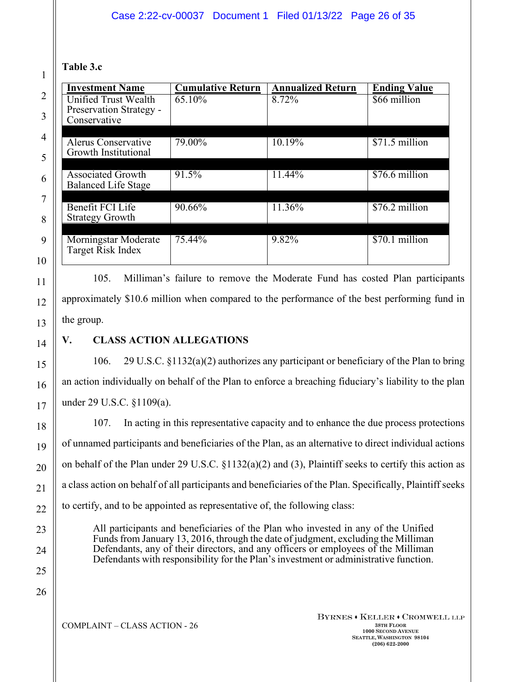## **Table 3.c**

1

2

3

4

5

| <b>Cumulative Return</b> | <b>Annualized Return</b> | <b>Ending Value</b> |
|--------------------------|--------------------------|---------------------|
| 65.10%                   | 8.72%                    | \$66 million        |
|                          |                          |                     |
|                          |                          |                     |
| 79.00%                   | 10.19%                   | \$71.5 million      |
|                          |                          |                     |
| 91.5%                    | 11.44%                   | \$76.6 million      |
|                          |                          |                     |
|                          |                          |                     |
|                          |                          | \$76.2 million      |
|                          |                          |                     |
| 75.44%                   | 9.82%                    | \$70.1 million      |
|                          |                          |                     |
|                          | 90.66%                   | 11.36%              |

105. Milliman's failure to remove the Moderate Fund has costed Plan participants approximately \$10.6 million when compared to the performance of the best performing fund in the group.

# **V. CLASS ACTION ALLEGATIONS**

106. 29 U.S.C. §1132(a)(2) authorizes any participant or beneficiary of the Plan to bring an action individually on behalf of the Plan to enforce a breaching fiduciary's liability to the plan under 29 U.S.C. §1109(a).

107. In acting in this representative capacity and to enhance the due process protections of unnamed participants and beneficiaries of the Plan, as an alternative to direct individual actions on behalf of the Plan under 29 U.S.C. §1132(a)(2) and (3), Plaintiff seeks to certify this action as a class action on behalf of all participants and beneficiaries of the Plan. Specifically, Plaintiff seeks to certify, and to be appointed as representative of, the following class:

All participants and beneficiaries of the Plan who invested in any of the Unified Funds from January 13, 2016, through the date of judgment, excluding the Milliman Defendants, any of their directors, and any officers or employees of the Milliman Defendants with responsibility for the Plan's investment or administrative function.

26

COMPLAINT – CLASS ACTION - 26 **38TH FLOOR**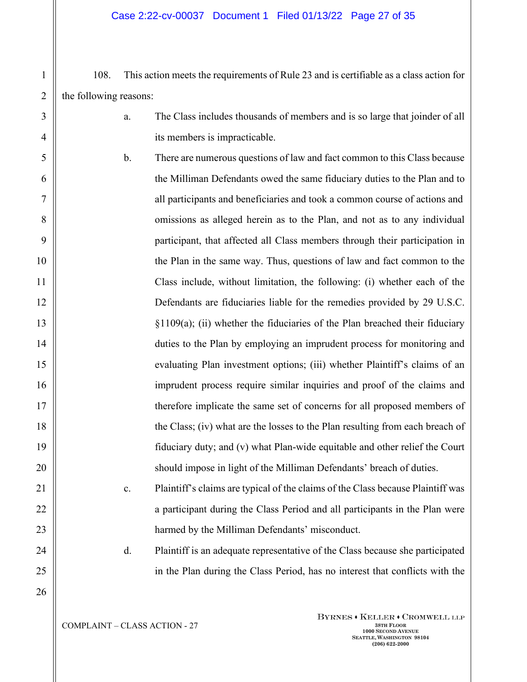108. This action meets the requirements of Rule 23 and is certifiable as a class action for the following reasons:

- a. The Class includes thousands of members and is so large that joinder of all its members is impracticable.
- b. There are numerous questions of law and fact common to this Class because the Milliman Defendants owed the same fiduciary duties to the Plan and to all participants and beneficiaries and took a common course of actions and omissions as alleged herein as to the Plan, and not as to any individual participant, that affected all Class members through their participation in the Plan in the same way. Thus, questions of law and fact common to the Class include, without limitation, the following: (i) whether each of the Defendants are fiduciaries liable for the remedies provided by 29 U.S.C. §1109(a); (ii) whether the fiduciaries of the Plan breached their fiduciary duties to the Plan by employing an imprudent process for monitoring and evaluating Plan investment options; (iii) whether Plaintiff's claims of an imprudent process require similar inquiries and proof of the claims and therefore implicate the same set of concerns for all proposed members of the Class; (iv) what are the losses to the Plan resulting from each breach of fiduciary duty; and (v) what Plan-wide equitable and other relief the Court should impose in light of the Milliman Defendants' breach of duties.
	- c. Plaintiff's claims are typical of the claims of the Class because Plaintiff was a participant during the Class Period and all participants in the Plan were harmed by the Milliman Defendants' misconduct.

d. Plaintiff is an adequate representative of the Class because she participated in the Plan during the Class Period, has no interest that conflicts with the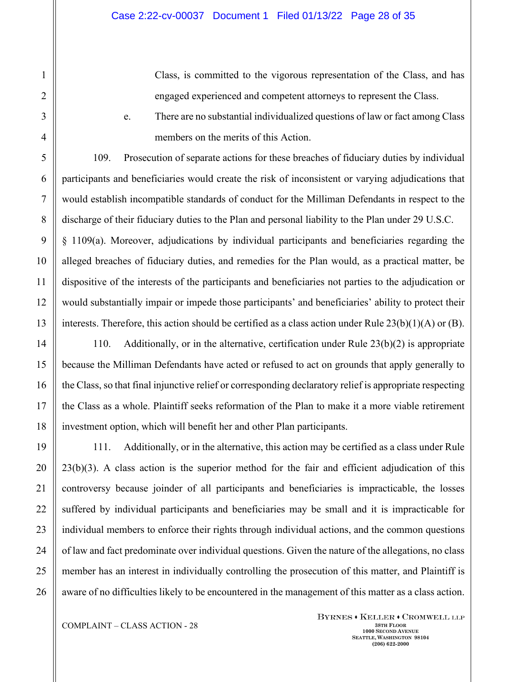Class, is committed to the vigorous representation of the Class, and has engaged experienced and competent attorneys to represent the Class.

e. There are no substantial individualized questions of law or fact among Class members on the merits of this Action.

109. Prosecution of separate actions for these breaches of fiduciary duties by individual participants and beneficiaries would create the risk of inconsistent or varying adjudications that would establish incompatible standards of conduct for the Milliman Defendants in respect to the discharge of their fiduciary duties to the Plan and personal liability to the Plan under 29 U.S.C. § 1109(a). Moreover, adjudications by individual participants and beneficiaries regarding the alleged breaches of fiduciary duties, and remedies for the Plan would, as a practical matter, be dispositive of the interests of the participants and beneficiaries not parties to the adjudication or would substantially impair or impede those participants' and beneficiaries' ability to protect their interests. Therefore, this action should be certified as a class action under Rule  $23(b)(1)(A)$  or (B).

110. Additionally, or in the alternative, certification under Rule 23(b)(2) is appropriate because the Milliman Defendants have acted or refused to act on grounds that apply generally to the Class, so that final injunctive relief or corresponding declaratory relief is appropriate respecting the Class as a whole. Plaintiff seeks reformation of the Plan to make it a more viable retirement investment option, which will benefit her and other Plan participants.

111. Additionally, or in the alternative, this action may be certified as a class under Rule 23(b)(3). A class action is the superior method for the fair and efficient adjudication of this controversy because joinder of all participants and beneficiaries is impracticable, the losses suffered by individual participants and beneficiaries may be small and it is impracticable for individual members to enforce their rights through individual actions, and the common questions of law and fact predominate over individual questions. Given the nature of the allegations, no class member has an interest in individually controlling the prosecution of this matter, and Plaintiff is aware of no difficulties likely to be encountered in the management of this matter as a class action.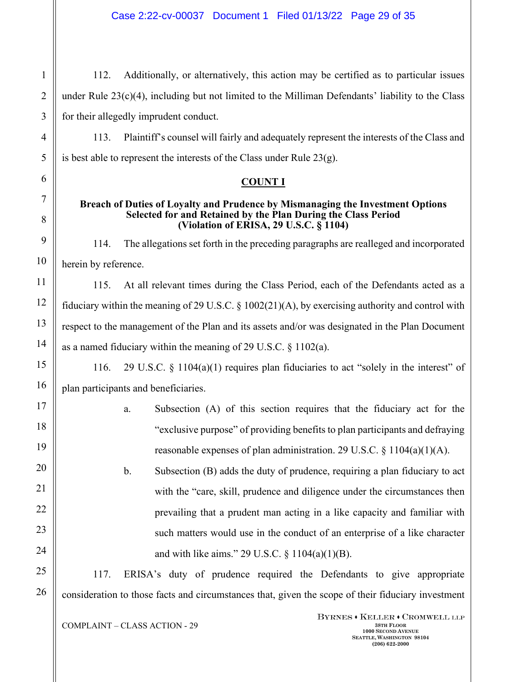112. Additionally, or alternatively, this action may be certified as to particular issues under Rule 23(c)(4), including but not limited to the Milliman Defendants' liability to the Class for their allegedly imprudent conduct.

113. Plaintiff's counsel will fairly and adequately represent the interests of the Class and is best able to represent the interests of the Class under Rule 23(g).

### **COUNT I**

#### **Breach of Duties of Loyalty and Prudence by Mismanaging the Investment Options Selected for and Retained by the Plan During the Class Period (Violation of ERISA, 29 U.S.C. § 1104)**

114. The allegations set forth in the preceding paragraphs are realleged and incorporated herein by reference.

115. At all relevant times during the Class Period, each of the Defendants acted as a fiduciary within the meaning of 29 U.S.C. § 1002(21)(A), by exercising authority and control with respect to the management of the Plan and its assets and/or was designated in the Plan Document as a named fiduciary within the meaning of 29 U.S.C. § 1102(a).

116. 29 U.S.C. § 1104(a)(1) requires plan fiduciaries to act "solely in the interest" of plan participants and beneficiaries.

> a. Subsection (A) of this section requires that the fiduciary act for the "exclusive purpose" of providing benefits to plan participants and defraying reasonable expenses of plan administration. 29 U.S.C. § 1104(a)(1)(A).

> b. Subsection (B) adds the duty of prudence, requiring a plan fiduciary to act with the "care, skill, prudence and diligence under the circumstances then prevailing that a prudent man acting in a like capacity and familiar with such matters would use in the conduct of an enterprise of a like character and with like aims." 29 U.S.C. § 1104(a)(1)(B).

117. ERISA's duty of prudence required the Defendants to give appropriate consideration to those facts and circumstances that, given the scope of their fiduciary investment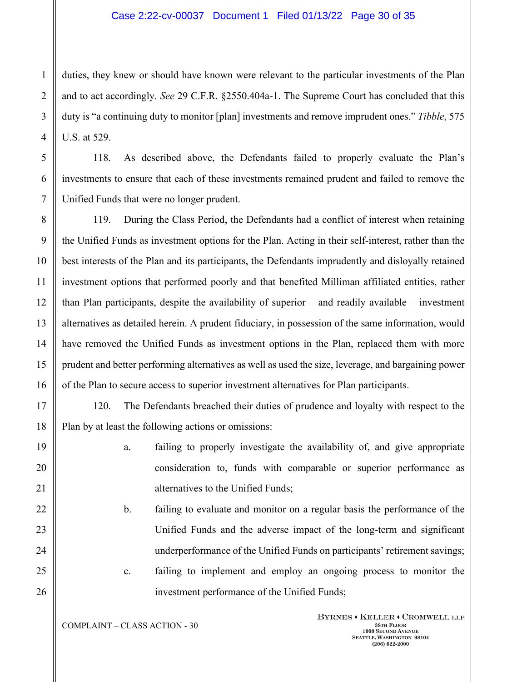duties, they knew or should have known were relevant to the particular investments of the Plan and to act accordingly. *See* 29 C.F.R. §2550.404a-1. The Supreme Court has concluded that this duty is "a continuing duty to monitor [plan] investments and remove imprudent ones." *Tibble*, 575 U.S. at 529.

118. As described above, the Defendants failed to properly evaluate the Plan's investments to ensure that each of these investments remained prudent and failed to remove the Unified Funds that were no longer prudent.

119. During the Class Period, the Defendants had a conflict of interest when retaining the Unified Funds as investment options for the Plan. Acting in their self-interest, rather than the best interests of the Plan and its participants, the Defendants imprudently and disloyally retained investment options that performed poorly and that benefited Milliman affiliated entities, rather than Plan participants, despite the availability of superior – and readily available – investment alternatives as detailed herein. A prudent fiduciary, in possession of the same information, would have removed the Unified Funds as investment options in the Plan, replaced them with more prudent and better performing alternatives as well as used the size, leverage, and bargaining power of the Plan to secure access to superior investment alternatives for Plan participants.

120. The Defendants breached their duties of prudence and loyalty with respect to the Plan by at least the following actions or omissions:

- a. failing to properly investigate the availability of, and give appropriate consideration to, funds with comparable or superior performance as alternatives to the Unified Funds;
- b. failing to evaluate and monitor on a regular basis the performance of the Unified Funds and the adverse impact of the long-term and significant underperformance of the Unified Funds on participants' retirement savings; c. failing to implement and employ an ongoing process to monitor the
	- investment performance of the Unified Funds;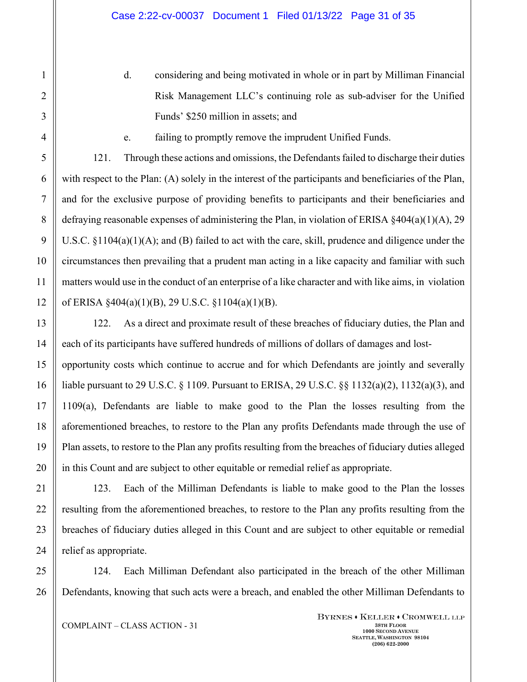d. considering and being motivated in whole or in part by Milliman Financial Risk Management LLC's continuing role as sub-adviser for the Unified Funds' \$250 million in assets; and

e. failing to promptly remove the imprudent Unified Funds.

121. Through these actions and omissions, the Defendants failed to discharge their duties with respect to the Plan: (A) solely in the interest of the participants and beneficiaries of the Plan, and for the exclusive purpose of providing benefits to participants and their beneficiaries and defraying reasonable expenses of administering the Plan, in violation of ERISA  $\S 404(a)(1)(A)$ , 29 U.S.C. §1104(a)(1)(A); and (B) failed to act with the care, skill, prudence and diligence under the circumstances then prevailing that a prudent man acting in a like capacity and familiar with such matters would use in the conduct of an enterprise of a like character and with like aims, in violation of ERISA §404(a)(1)(B), 29 U.S.C. §1104(a)(1)(B).

122. As a direct and proximate result of these breaches of fiduciary duties, the Plan and each of its participants have suffered hundreds of millions of dollars of damages and lostopportunity costs which continue to accrue and for which Defendants are jointly and severally

liable pursuant to 29 U.S.C. § 1109. Pursuant to ERISA, 29 U.S.C. §§ 1132(a)(2), 1132(a)(3), and 1109(a), Defendants are liable to make good to the Plan the losses resulting from the aforementioned breaches, to restore to the Plan any profits Defendants made through the use of Plan assets, to restore to the Plan any profits resulting from the breaches of fiduciary duties alleged in this Count and are subject to other equitable or remedial relief as appropriate.

123. Each of the Milliman Defendants is liable to make good to the Plan the losses resulting from the aforementioned breaches, to restore to the Plan any profits resulting from the breaches of fiduciary duties alleged in this Count and are subject to other equitable or remedial relief as appropriate.

124. Each Milliman Defendant also participated in the breach of the other Milliman Defendants, knowing that such acts were a breach, and enabled the other Milliman Defendants to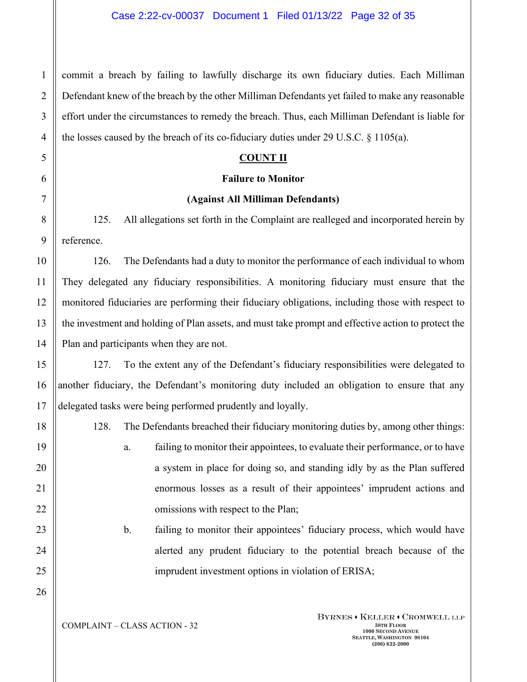commit a breach by failing to lawfully discharge its own fiduciary duties. Each Milliman Defendant knew of the breach by the other Milliman Defendants yet failed to make any reasonable effort under the circumstances to remedy the breach. Thus, each Milliman Defendant is liable for the losses caused by the breach of its co-fiduciary duties under 29 U.S.C. § 1105(a).

### **COUNT II**

### **Failure to Monitor**

### **(Against All Milliman Defendants)**

125. All allegations set forth in the Complaint are realleged and incorporated herein by reference.

126. The Defendants had a duty to monitor the performance of each individual to whom They delegated any fiduciary responsibilities. A monitoring fiduciary must ensure that the monitored fiduciaries are performing their fiduciary obligations, including those with respect to the investment and holding of Plan assets, and must take prompt and effective action to protect the Plan and participants when they are not.

127. To the extent any of the Defendant's fiduciary responsibilities were delegated to another fiduciary, the Defendant's monitoring duty included an obligation to ensure that any delegated tasks were being performed prudently and loyally.

128. The Defendants breached their fiduciary monitoring duties by, among other things:

- a. failing to monitor their appointees, to evaluate their performance, or to have a system in place for doing so, and standing idly by as the Plan suffered enormous losses as a result of their appointees' imprudent actions and omissions with respect to the Plan;
- b. failing to monitor their appointees' fiduciary process, which would have alerted any prudent fiduciary to the potential breach because of the imprudent investment options in violation of ERISA;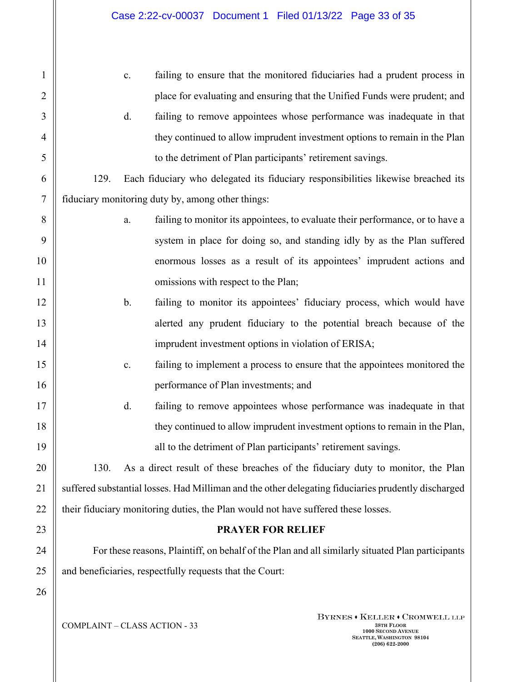| $\mathbf{1}$   |      | failing to ensure that the monitored fiduciaries had a prudent process in<br>$\mathbf{c}$ .         |
|----------------|------|-----------------------------------------------------------------------------------------------------|
| $\overline{2}$ |      | place for evaluating and ensuring that the Unified Funds were prudent; and                          |
| 3              |      | d.<br>failing to remove appointees whose performance was inadequate in that                         |
| $\overline{4}$ |      | they continued to allow imprudent investment options to remain in the Plan                          |
| 5              |      | to the detriment of Plan participants' retirement savings.                                          |
| 6              | 129. | Each fiduciary who delegated its fiduciary responsibilities likewise breached its                   |
| 7              |      | fiduciary monitoring duty by, among other things:                                                   |
| 8              |      | failing to monitor its appointees, to evaluate their performance, or to have a<br>a.                |
| 9              |      | system in place for doing so, and standing idly by as the Plan suffered                             |
| 10             |      | enormous losses as a result of its appointees' imprudent actions and                                |
| 11             |      | omissions with respect to the Plan;                                                                 |
| 12             |      | failing to monitor its appointees' fiduciary process, which would have<br>b.                        |
| 13             |      | alerted any prudent fiduciary to the potential breach because of the                                |
| 14             |      | imprudent investment options in violation of ERISA;                                                 |
| 15             |      | failing to implement a process to ensure that the appointees monitored the<br>$\mathbf{c}.$         |
| 16             |      | performance of Plan investments; and                                                                |
| 17             |      | d.<br>failing to remove appointees whose performance was inadequate in that                         |
| 18             |      | they continued to allow imprudent investment options to remain in the Plan,                         |
| 19             |      | all to the detriment of Plan participants' retirement savings.                                      |
| 20             | 130. | As a direct result of these breaches of the fiduciary duty to monitor, the Plan                     |
| 21             |      | suffered substantial losses. Had Milliman and the other delegating fiduciaries prudently discharged |
| 22             |      | their fiduciary monitoring duties, the Plan would not have suffered these losses.                   |
| 23             |      | <b>PRAYER FOR RELIEF</b>                                                                            |
| 24             |      | For these reasons, Plaintiff, on behalf of the Plan and all similarly situated Plan participants    |
| 25             |      | and beneficiaries, respectfully requests that the Court:                                            |
| 26             |      |                                                                                                     |
|                |      |                                                                                                     |

**COMPLAINT – CLASS ACTION - 33** 

 $\textbf{Byrn}\texttt{ES}\star\textbf{K}\texttt{ELLER}\star\textbf{C}\texttt{ROMWELL}\texttt{LLP}$ **1000 SECOND AVENUE SEATTLE, WASHINGTON 98104 (206) 622-2000**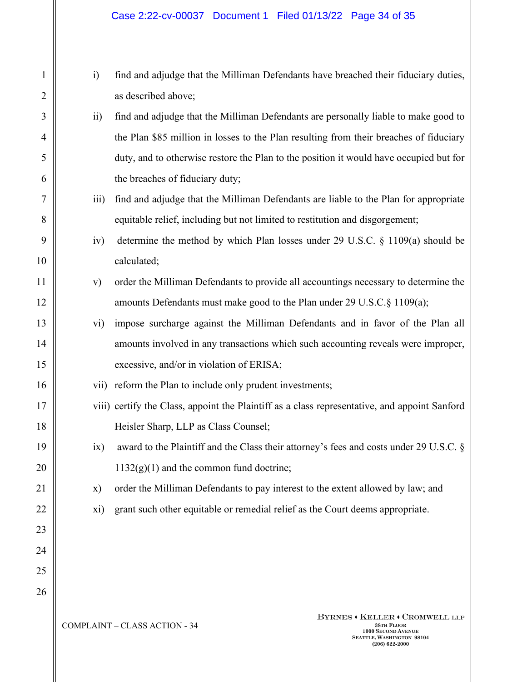- i) find and adjudge that the Milliman Defendants have breached their fiduciary duties, as described above;
- ii) find and adjudge that the Milliman Defendants are personally liable to make good to the Plan \$85 million in losses to the Plan resulting from their breaches of fiduciary duty, and to otherwise restore the Plan to the position it would have occupied but for the breaches of fiduciary duty;
- iii) find and adjudge that the Milliman Defendants are liable to the Plan for appropriate equitable relief, including but not limited to restitution and disgorgement;
- iv) determine the method by which Plan losses under 29 U.S.C. § 1109(a) should be calculated;
- v) order the Milliman Defendants to provide all accountings necessary to determine the amounts Defendants must make good to the Plan under 29 U.S.C.§ 1109(a);
- vi) impose surcharge against the Milliman Defendants and in favor of the Plan all amounts involved in any transactions which such accounting reveals were improper, excessive, and/or in violation of ERISA;
- vii) reform the Plan to include only prudent investments;
- viii) certify the Class, appoint the Plaintiff as a class representative, and appoint Sanford Heisler Sharp, LLP as Class Counsel;
- ix) award to the Plaintiff and the Class their attorney's fees and costs under 29 U.S.C. §  $1132(g)(1)$  and the common fund doctrine;
- x) order the Milliman Defendants to pay interest to the extent allowed by law; and
- xi) grant such other equitable or remedial relief as the Court deems appropriate.

COMPLAINT – CLASS ACTION - 34 **38TH FLOOR**